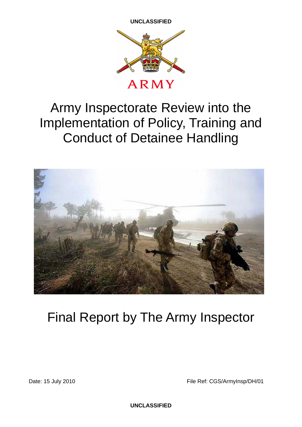

# Army Inspectorate Review into the Implementation of Policy, Training and Conduct of Detainee Handling



# Final Report by The Army Inspector

Date: 15 July 2010 **File Ref: CGS/ArmyInsp/DH/01**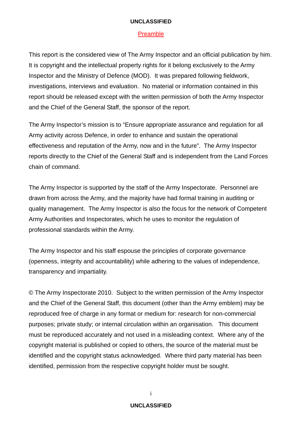#### Preamble

This report is the considered view of The Army Inspector and an official publication by him. It is copyright and the intellectual property rights for it belong exclusively to the Army Inspector and the Ministry of Defence (MOD). It was prepared following fieldwork, investigations, interviews and evaluation. No material or information contained in this report should be released except with the written permission of both the Army Inspector and the Chief of the General Staff, the sponsor of the report.

The Army Inspector's mission is to "Ensure appropriate assurance and regulation for all Army activity across Defence, in order to enhance and sustain the operational effectiveness and reputation of the Army, now and in the future". The Army Inspector reports directly to the Chief of the General Staff and is independent from the Land Forces chain of command.

The Army Inspector is supported by the staff of the Army Inspectorate. Personnel are drawn from across the Army, and the majority have had formal training in auditing or quality management. The Army Inspector is also the focus for the network of Competent Army Authorities and Inspectorates, which he uses to monitor the regulation of professional standards within the Army.

The Army Inspector and his staff espouse the principles of corporate governance (openness, integrity and accountability) while adhering to the values of independence, transparency and impartiality.

© The Army Inspectorate 2010. Subject to the written permission of the Army Inspector and the Chief of the General Staff, this document (other than the Army emblem) may be reproduced free of charge in any format or medium for: research for non-commercial purposes; private study; or internal circulation within an organisation. This document must be reproduced accurately and not used in a misleading context. Where any of the copyright material is published or copied to others, the source of the material must be identified and the copyright status acknowledged. Where third party material has been identified, permission from the respective copyright holder must be sought.

i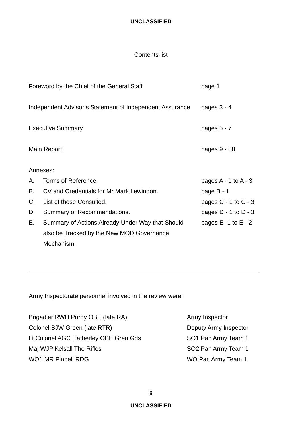# Contents list

| Foreword by the Chief of the General Staff               |                                                  | page 1                   |
|----------------------------------------------------------|--------------------------------------------------|--------------------------|
| Independent Advisor's Statement of Independent Assurance |                                                  | pages $3 - 4$            |
| <b>Executive Summary</b>                                 |                                                  | pages $5 - 7$            |
| Main Report                                              |                                                  | pages 9 - 38             |
|                                                          | Annexes:                                         |                          |
| Α.                                                       | Terms of Reference.                              | pages $A - 1$ to $A - 3$ |
| В.                                                       | CV and Credentials for Mr Mark Lewindon.         | page B - 1               |
| C.                                                       | List of those Consulted.                         | pages $C - 1$ to $C - 3$ |
| D.                                                       | Summary of Recommendations.                      | pages $D - 1$ to $D - 3$ |
| Е.                                                       | Summary of Actions Already Under Way that Should | pages $E - 1$ to $E - 2$ |
|                                                          | also be Tracked by the New MOD Governance        |                          |
|                                                          | Mechanism.                                       |                          |
|                                                          |                                                  |                          |

Army Inspectorate personnel involved in the review were:

Brigadier RWH Purdy OBE (late RA) Army Inspector Colonel BJW Green (late RTR) Deputy Army Inspector Lt Colonel AGC Hatherley OBE Gren Gds SO1 Pan Army Team 1 Maj WJP Kelsall The Rifles SO2 Pan Army Team 1 WO1 MR Pinnell RDG WO1 MR Pinnell RDG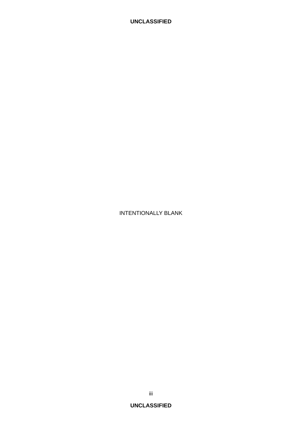# INTENTIONALLY BLANK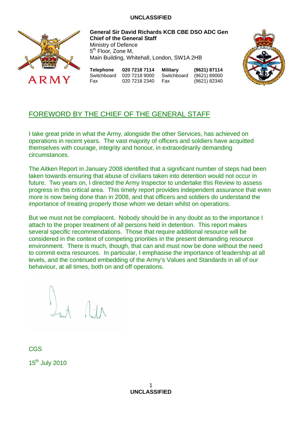

**General Sir David Richards KCB CBE DSO ADC Gen Chief of the General Staff**  Ministry of Defence 5<sup>th</sup> Floor, Zone M, Main Building, Whitehall, London, SW1A 2HB

**Telephone 020 7218 7114 Military (9621) 87114**  Switchboard 020 7218 9000 Switchboard (9621) 89000 Fax 020 7218 2340 Fax (9621) 82340



# FOREWORD BY THE CHIEF OF THE GENERAL STAFF

I take great pride in what the Army, alongside the other Services, has achieved on operations in recent years. The vast majority of officers and soldiers have acquitted themselves with courage, integrity and honour, in extraordinarily demanding circumstances.

The Aitken Report in January 2008 identified that a significant number of steps had been taken towards ensuring that abuse of civilians taken into detention would not occur in future. Two years on, I directed the Army Inspector to undertake this Review to assess progress in this critical area. This timely report provides independent assurance that even more is now being done than in 2008, and that officers and soldiers do understand the importance of treating properly those whom we detain whilst on operations.

But we must not be complacent. Nobody should be in any doubt as to the importance I attach to the proper treatment of all persons held in detention. This report makes several specific recommendations. Those that require additional resource will be considered in the context of competing priorities in the present demanding resource environment. There is much, though, that can and must now be done without the need to commit extra resources. In particular, I emphasise the importance of leadership at all levels, and the continued embedding of the Army's Values and Standards in all of our behaviour, at all times, both on and off operations.

CGS 15<sup>th</sup> July 2010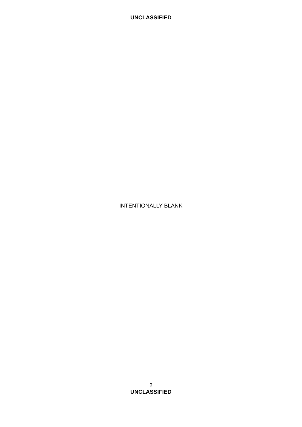# INTENTIONALLY BLANK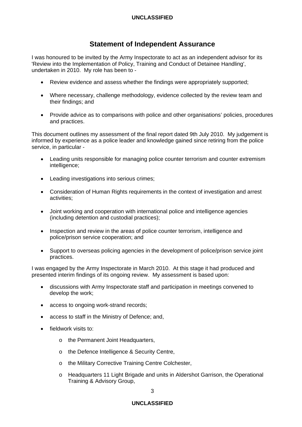# **Statement of Independent Assurance**

I was honoured to be invited by the Army Inspectorate to act as an independent advisor for its 'Review into the Implementation of Policy, Training and Conduct of Detainee Handling', undertaken in 2010. My role has been to -

- Review evidence and assess whether the findings were appropriately supported;
- Where necessary, challenge methodology, evidence collected by the review team and their findings; and
- Provide advice as to comparisons with police and other organisations' policies, procedures and practices.

This document outlines my assessment of the final report dated 9th July 2010. My judgement is informed by experience as a police leader and knowledge gained since retiring from the police service, in particular -

- Leading units responsible for managing police counter terrorism and counter extremism intelligence;
- Leading investigations into serious crimes;
- Consideration of Human Rights requirements in the context of investigation and arrest activities;
- Joint working and cooperation with international police and intelligence agencies (including detention and custodial practices);
- Inspection and review in the areas of police counter terrorism, intelligence and police/prison service cooperation; and
- Support to overseas policing agencies in the development of police/prison service joint practices.

I was engaged by the Army Inspectorate in March 2010. At this stage it had produced and presented interim findings of its ongoing review. My assessment is based upon:

- discussions with Army Inspectorate staff and participation in meetings convened to develop the work;
- access to ongoing work-strand records;
- access to staff in the Ministry of Defence; and,
- fieldwork visits to:
	- o the Permanent Joint Headquarters,
	- o the Defence Intelligence & Security Centre,
	- o the Military Corrective Training Centre Colchester,
	- o Headquarters 11 Light Brigade and units in Aldershot Garrison, the Operational Training & Advisory Group,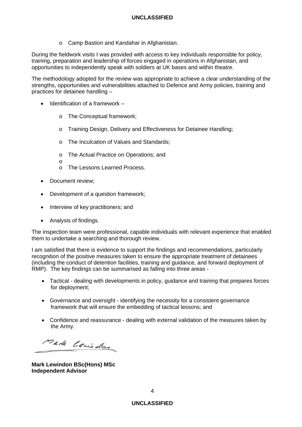o Camp Bastion and Kandahar in Afghanistan.

During the fieldwork visits I was provided with access to key individuals responsible for policy, training, preparation and leadership of forces engaged in operations in Afghanistan, and opportunities to independently speak with soldiers at UK bases and within theatre.

The methodology adopted for the review was appropriate to achieve a clear understanding of the strengths, opportunities and vulnerabilities attached to Defence and Army policies, training and practices for detainee handling –

- $\bullet$  Identification of a framework  $$ 
	- o The Conceptual framework;
	- o Training Design, Delivery and Effectiveness for Detainee Handling;
	- o The Inculcation of Values and Standards;
	- o The Actual Practice on Operations; and
	- o The Lessons Learned Process.
- Document review;

o

- Development of a question framework;
- Interview of key practitioners; and
- Analysis of findings.

The inspection team were professional, capable individuals with relevant experience that enabled them to undertake a searching and thorough review.

I am satisfied that there is evidence to support the findings and recommendations, particularly recognition of the positive measures taken to ensure the appropriate treatment of detainees (including the conduct of detention facilities, training and guidance, and forward deployment of RMP). The key findings can be summarised as falling into three areas -

- Tactical dealing with developments in policy, guidance and training that prepares forces for deployment;
- Governance and oversight identifying the necessity for a consistent governance framework that will ensure the embedding of tactical lessons; and
- Confidence and reassurance dealing with external validation of the measures taken by the Army.

Made Cemindan

**Mark Lewindon BSc(Hons) MSc Independent Advisor**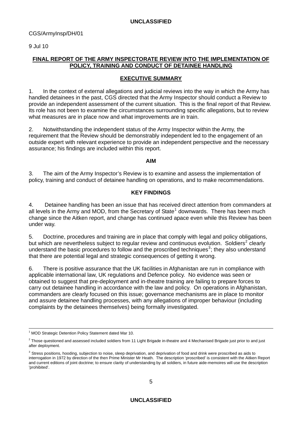9 Jul 10

## **FINAL REPORT OF THE ARMY INSPECTORATE REVIEW INTO THE IMPLEMENTATION OF POLICY, TRAINING AND CONDUCT OF DETAINEE HANDLING**

#### **EXECUTIVE SUMMARY**

1. In the context of external allegations and judicial reviews into the way in which the Army has handled detainees in the past, CGS directed that the Army Inspector should conduct a Review to provide an independent assessment of the current situation. This is the final report of that Review. Its role has not been to examine the circumstances surrounding specific allegations, but to review what measures are in place now and what improvements are in train.

2. Notwithstanding the independent status of the Army Inspector within the Army, the requirement that the Review should be demonstrably independent led to the engagement of an outside expert with relevant experience to provide an independent perspective and the necessary assurance; his findings are included within this report.

#### **AIM**

3. The aim of the Army Inspector's Review is to examine and assess the implementation of policy, training and conduct of detainee handling on operations, and to make recommendations.

#### **KEY FINDINGS**

4. Detainee handling has been an issue that has received direct attention from commanders at all levels in the Army and MOD, from the Secretary of State<sup>[1](#page-8-0)</sup> downwards. There has been much change since the Aitken report, and change has continued apace even while this Review has been under way.

5. Doctrine, procedures and training are in place that comply with legal and policy obligations, but which are nevertheless subject to regular review and continuous evolution. Soldiers<sup>[2](#page-8-1)</sup> clearly understand the basic procedures to follow and the proscribed techniques<sup>[3](#page-8-2)</sup>; they also understand that there are potential legal and strategic consequences of getting it wrong.

6. There is positive assurance that the UK facilities in Afghanistan are run in compliance with applicable international law, UK regulations and Defence policy. No evidence was seen or obtained to suggest that pre-deployment and in-theatre training are failing to prepare forces to carry out detainee handling in accordance with the law and policy. On operations in Afghanistan, commanders are clearly focused on this issue; governance mechanisms are in place to monitor and assure detainee handling processes, with any allegations of improper behaviour (including complaints by the detainees themselves) being formally investigated.

<span id="page-8-0"></span> <sup>1</sup> MOD Strategic Detention Policy Statement dated Mar 10.

<span id="page-8-1"></span> $^2$  Those questioned and assessed included soldiers from 11 Light Brigade in-theatre and 4 Mechanised Brigade just prior to and just after deployment.

<span id="page-8-2"></span><sup>&</sup>lt;sup>3</sup> Stress positions, hooding, subjection to noise, sleep deprivation, and deprivation of food and drink were proscribed as aids to interrogation in 1972 by direction of the then Prime Minister Mr Heath. The description 'proscribed' is consistent with the Aitken Report and current editions of joint doctrine; to ensure clarity of understanding by all soldiers, in future aide-memoires will use the description 'prohibited'.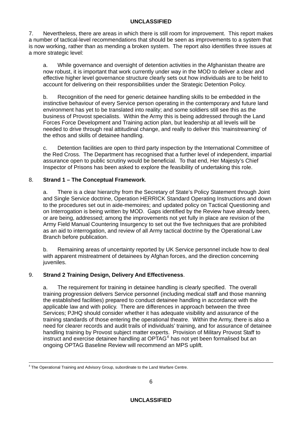7. Nevertheless, there are areas in which there is still room for improvement. This report makes a number of tactical-level recommendations that should be seen as improvements to a system that is now working, rather than as mending a broken system. The report also identifies three issues at a more strategic level:

a. While governance and oversight of detention activities in the Afghanistan theatre are now robust, it is important that work currently under way in the MOD to deliver a clear and effective higher level governance structure clearly sets out how individuals are to be held to account for delivering on their responsibilities under the Strategic Detention Policy.

b. Recognition of the need for generic detainee handling skills to be embedded in the instinctive behaviour of every Service person operating in the contemporary and future land environment has yet to be translated into reality; and some soldiers still see this as the business of Provost specialists. Within the Army this is being addressed through the Land Forces Force Development and Training action plan, but leadership at all levels will be needed to drive through real attitudinal change, and really to deliver this 'mainstreaming' of the ethos and skills of detainee handling.

c. Detention facilities are open to third party inspection by the International Committee of the Red Cross. The Department has recognised that a further level of independent, impartial assurance open to public scrutiny would be beneficial. To that end, Her Majesty's Chief Inspector of Prisons has been asked to explore the feasibility of undertaking this role.

# 8. **Strand 1 – The Conceptual Framework**.

a. There is a clear hierarchy from the Secretary of State's Policy Statement through Joint and Single Service doctrine, Operation HERRICK Standard Operating Instructions and down to the procedures set out in aide-memoires; and updated policy on Tactical Questioning and on Interrogation is being written by MOD. Gaps identified by the Review have already been, or are being, addressed; among the improvements not yet fully in place are revision of the Army Field Manual Countering Insurgency to set out the five techniques that are prohibited as an aid to interrogation, and review of all Army tactical doctrine by the Operational Law Branch before publication.

b. Remaining areas of uncertainty reported by UK Service personnel include how to deal with apparent mistreatment of detainees by Afghan forces, and the direction concerning juveniles.

# 9. **Strand 2 Training Design, Delivery And Effectiveness**.

a. The requirement for training in detainee handling is clearly specified. The overall training progression delivers Service personnel (including medical staff and those manning the established facilities) prepared to conduct detainee handling in accordance with the applicable law and with policy. There are differences in approach between the three Services; PJHQ should consider whether it has adequate visibility and assurance of the training standards of those entering the operational theatre. Within the Army, there is also a need for clearer records and audit trails of individuals' training, and for assurance of detainee handling training by Provost subject matter experts. Provision of Military Provost Staff to instruct and exercise detainee handling at OPTAG $<sup>4</sup>$  $<sup>4</sup>$  $<sup>4</sup>$  has not yet been formalised but an</sup> ongoing OPTAG Baseline Review will recommend an MPS uplift.

<span id="page-9-0"></span> $\overline{a}$ <sup>4</sup> The Operational Training and Advisory Group, subordinate to the Land Warfare Centre.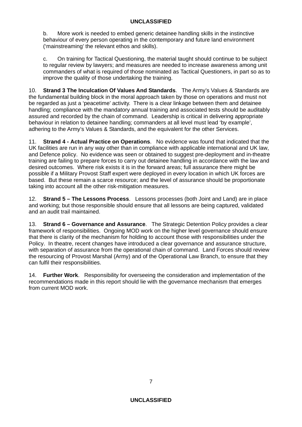b. More work is needed to embed generic detainee handling skills in the instinctive behaviour of every person operating in the contemporary and future land environment ('mainstreaming' the relevant ethos and skills).

c. On training for Tactical Questioning, the material taught should continue to be subject to regular review by lawyers; and measures are needed to increase awareness among unit commanders of what is required of those nominated as Tactical Questioners, in part so as to improve the quality of those undertaking the training.

10. **Strand 3 The Inculcation Of Values And Standards**. The Army's Values & Standards are the fundamental building block in the moral approach taken by those on operations and must not be regarded as just a 'peacetime' activity. There is a clear linkage between them and detainee handling; compliance with the mandatory annual training and associated tests should be auditably assured and recorded by the chain of command. Leadership is critical in delivering appropriate behaviour in relation to detainee handling; commanders at all level must lead 'by example', adhering to the Army's Values & Standards, and the equivalent for the other Services.

11. **Strand 4 - Actual Practice on Operations**. No evidence was found that indicated that the UK facilities are run in any way other than in compliance with applicable international and UK law, and Defence policy. No evidence was seen or obtained to suggest pre-deployment and in-theatre training are failing to prepare forces to carry out detainee handling in accordance with the law and desired outcomes. Where risk exists it is in the forward areas; full assurance there might be possible if a Military Provost Staff expert were deployed in every location in which UK forces are based. But these remain a scarce resource; and the level of assurance should be proportionate taking into account all the other risk-mitigation measures.

12. **Strand 5 – The Lessons Process**. Lessons processes (both Joint and Land) are in place and working; but those responsible should ensure that all lessons are being captured, validated and an audit trail maintained.

13. **Strand 6 – Governance and Assurance**. The Strategic Detention Policy provides a clear framework of responsibilities. Ongoing MOD work on the higher level governance should ensure that there is clarity of the mechanism for holding to account those with responsibilities under the Policy. In theatre, recent changes have introduced a clear governance and assurance structure, with separation of assurance from the operational chain of command. Land Forces should review the resourcing of Provost Marshal (Army) and of the Operational Law Branch, to ensure that they can fulfil their responsibilities.

14. **Further Work**. Responsibility for overseeing the consideration and implementation of the recommendations made in this report should lie with the governance mechanism that emerges from current MOD work.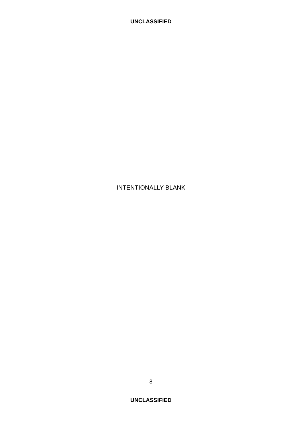# INTENTIONALLY BLANK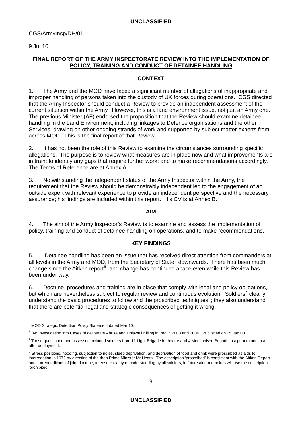9 Jul 10

## **FINAL REPORT OF THE ARMY INSPECTORATE REVIEW INTO THE IMPLEMENTATION OF POLICY, TRAINING AND CONDUCT OF DETAINEE HANDLING**

#### **CONTEXT**

1. The Army and the MOD have faced a significant number of allegations of inappropriate and improper handling of persons taken into the custody of UK forces during operations. CGS directed that the Army Inspector should conduct a Review to provide an independent assessment of the current situation within the Army. However, this is a land environment issue, not just an Army one. The previous Minister (AF) endorsed the proposition that the Review should examine detainee handling in the Land Environment, including linkages to Defence organisations and the other Services, drawing on other ongoing strands of work and supported by subject matter experts from across MOD. This is the final report of that Review.

2. It has not been the role of this Review to examine the circumstances surrounding specific allegations. The purpose is to review what measures are in place now and what improvements are in train; to identify any gaps that require further work; and to make recommendations accordingly. The Terms of Reference are at Annex A.

3. Notwithstanding the independent status of the Army Inspector within the Army, the requirement that the Review should be demonstrably independent led to the engagement of an outside expert with relevant experience to provide an independent perspective and the necessary assurance; his findings are included within this report. His CV is at Annex B.

#### **AIM**

4. The aim of the Army Inspector's Review is to examine and assess the implementation of policy, training and conduct of detainee handling on operations, and to make recommendations.

#### **KEY FINDINGS**

5. Detainee handling has been an issue that has received direct attention from commanders at all levels in the Army and MOD, from the Secretary of State<sup>[5](#page-12-0)</sup> downwards. There has been much change since the Aitken report<sup>[6](#page-12-1)</sup>, and change has continued apace even while this Review has been under way.

6. Doctrine, procedures and training are in place that comply with legal and policy obligations, but which are nevertheless subject to regular review and continuous evolution. Soldiers<sup>[7](#page-12-2)</sup> clearly understand the basic procedures to follow and the proscribed techniques<sup>[8](#page-12-3)</sup>; they also understand that there are potential legal and strategic consequences of getting it wrong.

<span id="page-12-0"></span><sup>&</sup>lt;sup>5</sup> MOD Strategic Detention Policy Statement dated Mar 10.

<span id="page-12-1"></span><sup>&</sup>lt;sup>6</sup> An Investigation into Cases of deliberate Abuse and Unlawful Killing in Iraq in 2003 and 2004. Published on 25 Jan 08.

<span id="page-12-2"></span> $^7$  Those questioned and assessed included soldiers from 11 Light Brigade in-theatre and 4 Mechanised Brigade just prior to and just after deployment.

<span id="page-12-3"></span><sup>&</sup>lt;sup>8</sup> Stress positions, hooding, subjection to noise, sleep deprivation, and deprivation of food and drink were proscribed as aids to interrogation in 1972 by direction of the then Prime Minister Mr Heath. The description 'proscribed' is consistent with the Aitken Report and current editions of joint doctrine; to ensure clarity of understanding by all soldiers, in future aide-memoires will use the description 'prohibited'.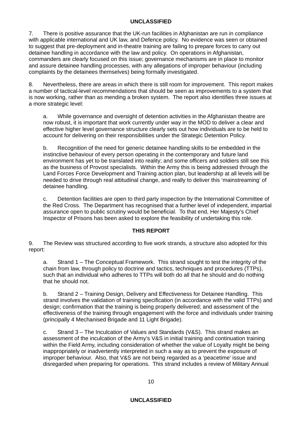7. There is positive assurance that the UK-run facilities in Afghanistan are run in compliance with applicable international and UK law, and Defence policy. No evidence was seen or obtained to suggest that pre-deployment and in-theatre training are failing to prepare forces to carry out detainee handling in accordance with the law and policy. On operations in Afghanistan, commanders are clearly focused on this issue; governance mechanisms are in place to monitor and assure detainee handling processes, with any allegations of improper behaviour (including complaints by the detainees themselves) being formally investigated.

8. Nevertheless, there are areas in which there is still room for improvement. This report makes a number of tactical-level recommendations that should be seen as improvements to a system that is now working, rather than as mending a broken system. The report also identifies three issues at a more strategic level:

a. While governance and oversight of detention activities in the Afghanistan theatre are now robust, it is important that work currently under way in the MOD to deliver a clear and effective higher level governance structure clearly sets out how individuals are to be held to account for delivering on their responsibilities under the Strategic Detention Policy.

b. Recognition of the need for generic detainee handling skills to be embedded in the instinctive behaviour of every person operating in the contemporary and future land environment has yet to be translated into reality; and some officers and soldiers still see this as the business of Provost specialists. Within the Army this is being addressed through the Land Forces Force Development and Training action plan, but leadership at all levels will be needed to drive through real attitudinal change, and really to deliver this 'mainstreaming' of detainee handling.

c. Detention facilities are open to third party inspection by the International Committee of the Red Cross. The Department has recognised that a further level of independent, impartial assurance open to public scrutiny would be beneficial. To that end, Her Majesty's Chief Inspector of Prisons has been asked to explore the feasibility of undertaking this role.

# **THIS REPORT**

9. The Review was structured according to five work strands, a structure also adopted for this report:

a. Strand 1 – The Conceptual Framework. This strand sought to test the integrity of the chain from law, through policy to doctrine and tactics, techniques and procedures (TTPs), such that an individual who adheres to TTPs will both do all that he should and do nothing that he should not.

b. Strand 2 – Training Design, Delivery and Effectiveness for Detainee Handling.This strand involves the validation of training specification (in accordance with the valid TTPs) and design; confirmation that the training is being properly delivered; and assessment of the effectiveness of the training through engagement with the force and individuals under training (principally 4 Mechanised Brigade and 11 Light Brigade).

c. Strand 3 – The Inculcation of Values and Standards (V&S). This strand makes an assessment of the inculcation of the Army's V&S in initial training and continuation training within the Field Army, including consideration of whether the value of Loyalty might be being inappropriately or inadvertently interpreted in such a way as to prevent the exposure of improper behaviour. Also, that V&S are not being regarded as a 'peacetime' issue and disregarded when preparing for operations. This strand includes a review of Military Annual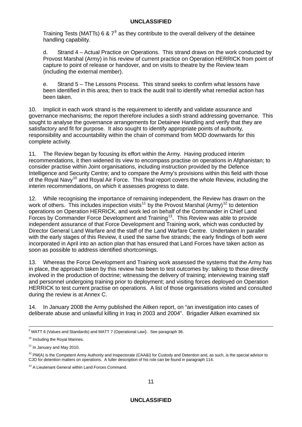Training Tests (MATTs) 6 &  $7^9$  as they contribute to the overall delivery of the detainee handling capability.

d. Strand 4 – Actual Practice on Operations. This strand draws on the work conducted by Provost Marshal (Army) in his review of current practice on Operation HERRICK from point of capture to point of release or handover, and on visits to theatre by the Review team (including the external member).

e. Strand 5 – The Lessons Process. This strand seeks to confirm what lessons have been identified in this area; then to track the audit trail to identify what remedial action has been taken.

10. Implicit in each work strand is the requirement to identify and validate assurance and governance mechanisms; the report therefore includes a sixth strand addressing governance. This sought to analyse the governance arrangements for Detainee Handling and verify that they are satisfactory and fit for purpose. It also sought to identify appropriate points of authority, responsibility and accountability within the chain of command from MOD downwards for this complete activity.

11. The Review began by focusing its effort within the Army. Having produced interim recommendations, it then widened its view to encompass practise on operations in Afghanistan; to consider practise within Joint organisations, including instruction provided by the Defence Intelligence and Security Centre; and to compare the Army's provisions within this field with those of the Royal Navy<sup>[10](#page-14-0)</sup> and Royal Air Force. This final report covers the whole Review, including the interim recommendations, on which it assesses progress to date.

12. While recognising the importance of remaining independent, the Review has drawn on the work of others. This includes inspection visits<sup>[11](#page-14-1)</sup> by the Provost Marshal (Army)<sup>[12](#page-14-2)</sup> to detention operations on Operation HERRICK, and work led on behalf of the Commander in Chief Land Forces by Commander Force Development and Training<sup>[13](#page-14-3)</sup>. This Review was able to provide independent assurance of that Force Development and Training work, which was conducted by Director General Land Warfare and the staff of the Land Warfare Centre. Undertaken in parallel with the early stages of this Review, it used the same five strands; the early findings of both were incorporated in April into an action plan that has ensured that Land Forces have taken action as soon as possible to address identified shortcomings.

13. Whereas the Force Development and Training work assessed the systems that the Army has in place, the approach taken by this review has been to test outcomes by: talking to those directly involved in the production of doctrine; witnessing the delivery of training; interviewing training staff and personnel undergoing training prior to deployment; and visiting forces deployed on Operation HERRICK to test current practise on operations. A list of those organisations visited and consulted during the review is at Annex C.

14. In January 2008 the Army published the Aitken report, on "an investigation into cases of deliberate abuse and unlawful killing in Iraq in 2003 and 2004". Brigadier Aitken examined six

<sup>&</sup>lt;sup>9</sup><br>MATT 6 (Values and Standards) and MATT 7 (Operational Law). See paragraph 36.

<span id="page-14-0"></span><sup>&</sup>lt;sup>10</sup> Including the Royal Marines.

<span id="page-14-1"></span><sup>&</sup>lt;sup>11</sup> In January and May 2010.

<span id="page-14-2"></span> $12$  PM(A) is the Competent Army Authority and Inspectorate (CAA&I) for Custody and Detention and, as such, is the special advisor to CJO for detention matters on operations. A fuller description of his role can be found in paragraph 114.

<span id="page-14-3"></span><sup>&</sup>lt;sup>13</sup> A Lieutenant General within Land Forces Command.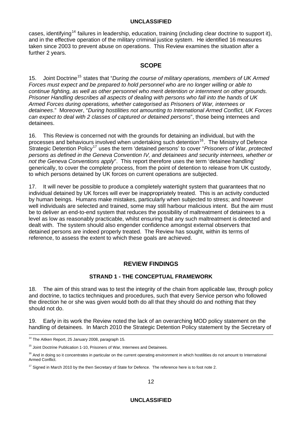cases, identifying<sup>14</sup> failures in leadership, education, training (including clear doctrine to support it), and in the effective operation of the military criminal justice system. He identified 16 measures taken since 2003 to prevent abuse on operations. This Review examines the situation after a further 2 years.

# **SCOPE**

15. Joint Doctrine[15](#page-15-0) states that "*During the course of military operations, members of UK Armed Forces must expect and be prepared to hold personnel who are no longer willing or able to continue fighting, as well as other personnel who merit detention or internment on other grounds. Prisoner Handling describes all aspects of dealing with persons who fall into the hands of UK Armed Forces during operations, whether categorised as Prisoners of War, internees or detainees*." Moreover, "*During hostilities not amounting to International Armed Conflict, UK Forces can expect to deal with 2 classes of captured or detained persons*", those being internees and detainees.

16. This Review is concerned not with the grounds for detaining an individual, but with the processes and behaviours involved when undertaking such detention<sup>[16](#page-15-1)</sup>. The Ministry of Defence Strategic Detention Policy[17](#page-15-2) uses the term 'detained persons' to cover "*Prisoners of War, protected persons as defined in the Geneva Convention IV, and detainees and security internees, whether or not the Geneva Conventions apply*". This report therefore uses the term 'detainee handling' generically, to cover the complete process, from the point of detention to release from UK custody, to which persons detained by UK forces on current operations are subjected.

17. It will never be possible to produce a completely watertight system that guarantees that no individual detained by UK forces will ever be inappropriately treated. This is an activity conducted by human beings. Humans make mistakes, particularly when subjected to stress; and however well individuals are selected and trained, some may still harbour malicious intent. But the aim must be to deliver an end-to-end system that reduces the possibility of maltreatment of detainees to a level as low as reasonably practicable, whilst ensuring that any such maltreatment is detected and dealt with. The system should also engender confidence amongst external observers that detained persons are indeed properly treated. The Review has sought, within its terms of reference, to assess the extent to which these goals are achieved.

# **REVIEW FINDINGS**

#### **STRAND 1 - THE CONCEPTUAL FRAMEWORK**

18. The aim of this strand was to test the integrity of the chain from applicable law, through policy and doctrine, to tactics techniques and procedures, such that every Service person who followed the direction he or she was given would both do all that they should do and nothing that they should not do.

19. Early in its work the Review noted the lack of an overarching MOD policy statement on the handling of detainees. In March 2010 the Strategic Detention Policy statement by the Secretary of

  $14$  The Aitken Report, 25 January 2008, paragraph 15.

<span id="page-15-0"></span><sup>&</sup>lt;sup>15</sup> Joint Doctrine Publication 1-10, Prisoners of War, Internees and Detainees.

<span id="page-15-1"></span><sup>&</sup>lt;sup>16</sup> And in doing so it concentrates in particular on the current operating environment in which hostilities do not amount to International Armed Conflict.

<span id="page-15-2"></span><sup>&</sup>lt;sup>17</sup> Signed in March 2010 by the then Secretary of State for Defence. The reference here is to foot note 2.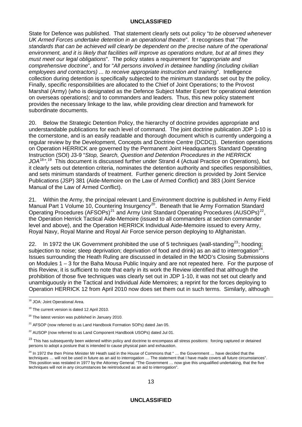State for Defence was published. That statement clearly sets out policy "*to be observed whenever UK Armed Forces undertake detention in an operational theatre*". It recognises that "*The standards that can be achieved will clearly be dependent on the precise nature of the operational environment, and it is likely that facilities will improve as operations endure, but at all times they must meet our legal obligations*". The policy states a requirement for "*appropriate and comprehensive doctrine*", and for "*All persons involved in detainee handling (including civilian employees and contractors) ... to receive appropriate instruction and training*". Intelligence collection during detention is specifically subjected to the minimum standards set out by the policy. Finally, specific responsibilities are allocated to the Chief of Joint Operations; to the Provost Marshal (Army) (who is designated as the Defence Subject Matter Expert for operational detention on overseas operations); and to commanders and leaders. Thus, this new policy statement provides the necessary linkage to the law, while providing clear direction and framework for subordinate documents.

it clearly sets out detention criteria, nominates the detention authority and specifies responsibilities, 20. Below the Strategic Detention Policy, the hierarchy of doctrine provides appropriate and understandable publications for each level of command. The joint doctrine publication JDP 1-10 is the cornerstone, and is an easily readable and thorough document which is currently undergoing a regular review by the Development, Concepts and Doctrine Centre (DCDC)). Detention operations on Operation HERRICK are governed by the Permanent Joint Headquarters Standard Operating Instruction (SOI) J3-9 "*Stop, Search, Question and Detention Procedures in the HERRICK JOA*[18](#page-16-0)*"*. [19](#page-16-1) This document is discussed further under Strand 4 (Actual Practice on Operations), but and sets minimum standards of treatment. Further generic direction is provided by Joint Service Publications (JSP) 381 (Aide-Memoire on the Law of Armed Conflict) and 383 (Joint Service Manual of the Law of Armed Conflict).

21. Within the Army, the principal relevant Land Environment doctrine is published in Army Field Manual Part 1 Volume 10, Countering Insurgency<sup>[20](#page-16-2)</sup>. Beneath that lie Army Formation Standard Operating Procedures  $(AFSOPs)^{21}$  $(AFSOPs)^{21}$  $(AFSOPs)^{21}$  and Army Unit Standard Operating Procedures (AUSOPs) $^{22}$  $^{22}$  $^{22}$ , the Operation Herrick Tactical Aide-Memoire (issued to all commanders at section commander level and above), and the Operation HERRICK Individual Aide-Memoire issued to every Army, Royal Navy, Royal Marine and Royal Air Force service person deploying to Afghanistan.

22. In 1972 the UK Government prohibited the use of 5 techniques (wall-standing<sup>[23](#page-16-5)</sup>; hooding; subjection to noise; sleep deprivation; deprivation of food and drink) as an aid to interrogation<sup>2</sup> Issues surrounding the Heath Ruling are discussed in detailed in the MOD's Closing Submissions on Modules 1 – 3 for the Baha Mousa Public Inquiry and are not repeated here. For the purpose of this Review, it is sufficient to note that early in its work the Review identified that although the prohibition of those five techniques was clearly set out in JDP 1-10, it was not set out clearly and unambiguously in the Tactical and Individual Aide Memoires; a reprint for the forces deploying to Operation HERRICK 12 from April 2010 now does set them out in such terms. Similarly, although

<span id="page-16-0"></span><sup>&</sup>lt;sup>18</sup> JOA: Joint Operational Area.

<span id="page-16-1"></span><sup>&</sup>lt;sup>19</sup> The current version is dated 12 April 2010.

<span id="page-16-2"></span> $20$  The latest version was published in January 2010.

<span id="page-16-3"></span><sup>&</sup>lt;sup>21</sup> AFSOP (now referred to as Land Handbook Formation SOPs) dated Jan 05.

<span id="page-16-4"></span><sup>&</sup>lt;sup>22</sup> AUSOP (now referred to as Land Component Handbook USOPs) dated Jul 01.

<span id="page-16-5"></span><sup>&</sup>lt;sup>23</sup> This has subsequently been widened within policy and doctrine to encompass all stress positions: forcing captured or detained persons to adopt a posture that is intended to cause physical pain and exhaustion.

<span id="page-16-6"></span><sup>&</sup>lt;sup>24</sup> In 1972 the then Prime Minister Mr Heath said in the House of Commons that " ... the Government ... have decided that the techniques … will not be used in future as an aid to interrogation … The statement that I have made covers all future circumstances". This position was restated in 1977 by the Attorney General: "The Government … now give this unqualified undertaking, that the five techniques will not in any circumstances be reintroduced as an aid to interrogation".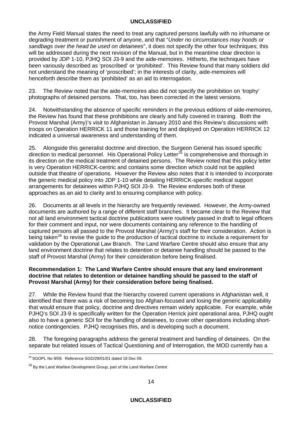the Army Field Manual states the need to treat any captured persons lawfully with no inhumane or degrading treatment or punishment of anyone, and that "*Under no circumstances may hoods or sandbags over the head be used on detainees*", it does not specify the other four techniques; this will be addressed during the next revision of the Manual, but in the meantime clear direction is provided by JDP 1-10, PJHQ SOI J3-9 and the aide-memoires. Hitherto, the techniques have been variously described as 'proscribed' or 'prohibited'. This Review found that many soldiers did not understand the meaning of 'proscribed'; in the interests of clarity, aide-memoires will henceforth describe them as 'prohibited' as an aid to interrogation.

23. The Review noted that the aide-memoires also did not specify the prohibition on 'trophy' photographs of detained persons. That, too, has been corrected in the latest versions.

24. Notwithstanding the absence of specific reminders in the previous editions of aide-memoires, the Review has found that these prohibitions are clearly and fully covered in training. Both the Provost Marshal (Army)'s visit to Afghanistan in January 2010 and this Review's discussions with troops on Operation HERRICK 11 and those training for and deployed on Operation HERRICK 12 indicated a universal awareness and understanding of them.

25. Alongside this generalist doctrine and direction, the Surgeon General has issued specific direction to medical personnel. His Operational Policy Letter $^{25}$  $^{25}$  $^{25}$  is comprehensive and thorough in its direction on the medical treatment of detained persons. The Review noted that this policy letter is very Operation HERRICK-centric and contains some direction which could not be applied outside that theatre of operations. However the Review also notes that it is intended to incorporate the generic medical policy into JDP 1-10 while detailing HERRICK-specific medical support arrangements for detainees within PJHQ SOI J3-9. The Review endorses both of these approaches as an aid to clarity and to ensuring compliance with policy.

26. Documents at all levels in the hierarchy are frequently reviewed. However, the Army-owned documents are authored by a range of different staff branches. It became clear to the Review that not all land environment tactical doctrine publications were routinely passed in draft to legal officers for their comment and input, nor were documents containing any reference to the handling of captured persons all passed to the Provost Marshal (Army)'s staff for their consideration. Action is being taken<sup>[26](#page-17-1)</sup> to revise the guide to the production of tactical doctrine to include a requirement for validation by the Operational Law Branch. The Land Warfare Centre should also ensure that any land environment doctrine that relates to detention or detainee handling should be passed to the staff of Provost Marshal (Army) for their consideration before being finalised.

#### **Recommendation 1: The Land Warfare Centre should ensure that any land environment doctrine that relates to detention or detainee handling should be passed to the staff of Provost Marshal (Army) for their consideration before being finalised.**

27. While the Review found that the hierarchy covered current operations in Afghanistan well, it identified that there was a risk of becoming too Afghan-focused and losing the generic applicability that would ensure that policy, doctrine and directives remain widely applicable. For example, while PJHQ's SOI J3-9 is specifically written for the Operation Herrick joint operational area, PJHQ ought also to have a generic SOI for the handling of detainees, to cover other operations including shortnotice contingencies. PJHQ recognises this, and is developing such a document.

28. The foregoing paragraphs address the general treatment and handling of detainees. On the separate but related issues of Tactical Questioning and of Interrogation, the MOD currently has a

<span id="page-17-0"></span> <sup>25</sup> SGOPL No 9/09. Reference SGD/29/01/01 dated 18 Dec 09.

<span id="page-17-1"></span><sup>&</sup>lt;sup>26</sup> By the Land Warfare Development Group, part of the Land Warfare Centre<sup>:</sup>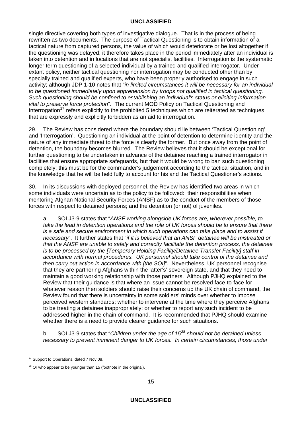single directive covering both types of investigative dialogue. That is in the process of being rewritten as two documents. The purpose of Tactical Questioning is to obtain information of a tactical nature from captured persons, the value of which would deteriorate or be lost altogether if the questioning was delayed; it therefore takes place in the period immediately after an individual is taken into detention and in locations that are not specialist facilities. Interrogation is the systematic longer term questioning of a selected individual by a trained and qualified interrogator. Under extant policy, neither tactical questioning nor interrogation may be conducted other than by specially trained and qualified experts, who have been properly authorised to engage in such activity; although JDP 1-10 notes that "*in limited circumstances it will be necessary for an individual to be questioned immediately upon apprehension by troops not qualified in tactical questioning. Such questioning should be confined to establishing an individual's status or eliciting information vital to preserve force protection*". The current MOD Policy on Tactical Questioning and Interrogation<sup>27</sup> refers explicitly to the prohibited 5 techniques which are reiterated as techniques that are expressly and explicitly forbidden as an aid to interrogation.

29. The Review has considered where the boundary should lie between 'Tactical Questioning' and 'Interrogation'. Questioning an individual at the point of detention to determine identity and the nature of any immediate threat to the force is clearly the former. But once away from the point of detention, the boundary becomes blurred. The Review believes that it should be exceptional for further questioning to be undertaken in advance of the detainee reaching a trained interrogator in facilities that ensure appropriate safeguards, but that it would be wrong to ban such questioning completely; this must be for the commander's judgement according to the tactical situation, and in the knowledge that he will be held fully to account for his and the Tactical Questioner's actions.

30. In its discussions with deployed personnel, the Review has identified two areas in which some individuals were uncertain as to the policy to be followed: their responsibilities when mentoring Afghan National Security Forces (ANSF) as to the conduct of the members of those forces with respect to detained persons; and the detention (or not) of juveniles.

a. SOI J3-9 states that "*ANSF working alongside UK forces are, wherever possible, to take the lead in detention operations and the role of UK forces should be to ensure that there is a safe and secure environment in which such operations can take place and to assist if necessary*". It further states that "*if it is believed that an ANSF detainee will be mistreated or that the ANSF are unable to safely and correctly facilitate the detention process, the detainee is to be processed by the [Temporary Holding Facility/Detainee Transfer Facility] staff in accordance with normal procedures. UK personnel should take control of the detainee and then carry out action in accordance with [the SOI]*". Nevertheless, UK personnel recognise that they are partnering Afghans within the latter's' sovereign state, and that they need to maintain a good working relationship with those partners. Although PJHQ explained to the Review that their guidance is that where an issue cannot be resolved face-to-face for whatever reason then soldiers should raise their concerns up the UK chain of command, the Review found that there is uncertainty in some soldiers' minds over whether to impose perceived western standards; whether to intervene at the time where they perceive Afghans to be treating a detainee inappropriately; or whether to report any such incident to be addressed higher in the chain of command. It is recommended that PJHQ should examine whether there is a need to provide clearer guidance for such situations.

b. SOI J3-9 states that "*Children under the age of 15[28](#page-18-0) should not be detained unless necessary to prevent imminent danger to UK forces. In certain circumstances, those under* 

<sup>&</sup>lt;sup>27</sup> Support to Operations, dated 7 Nov 08.

<span id="page-18-0"></span> $28$  Or who appear to be younger than 15 (footnote in the original).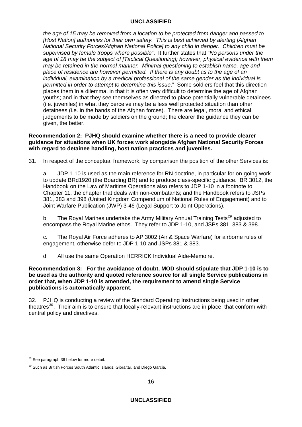*the age of 15 may be removed from a location to be protected from danger and passed to [Host Nation] authorities for their own safety. This is best achieved by alerting [Afghan National Security Forces/Afghan National Police] to any child in danger. Children must be supervised by female troops where possible*". It further states that "*No persons under the age of 18 may be the subject of [Tactical Questioning]; however, physical evidence with them may be retained in the normal manner. Minimal questioning to establish name, age and place of residence are however permitted. If there is any doubt as to the age of an individual, examination by a medical professional of the same gender as the individual is permitted in order to attempt to determine this issue*." Some soldiers feel that this direction places them in a dilemma, in that it is often very difficult to determine the age of Afghan youths; and in that they see themselves as directed to place potentially vulnerable detainees (i.e. juveniles) in what they perceive may be a less well protected situation than other detainees (i.e. in the hands of the Afghan forces). There are legal, moral and ethical judgements to be made by soldiers on the ground; the clearer the guidance they can be given, the better.

#### **Recommendation 2: PJHQ should examine whether there is a need to provide clearer guidance for situations when UK forces work alongside Afghan National Security Forces with regard to detainee handling, host nation practices and juveniles.**

31. In respect of the conceptual framework, by comparison the position of the other Services is:

a. JDP 1-10 is used as the main reference for RN doctrine, in particular for on-going work to update BRd1920 (the Boarding BR) and to produce class-specific guidance. BR 3012, the Handbook on the Law of Maritime Operations also refers to JDP 1-10 in a footnote to Chapter 11, the chapter that deals with non-combatants; and the Handbook refers to JSPs 381, 383 and 398 (United Kingdom Compendium of National Rules of Engagement) and to Joint Warfare Publication (JWP) 3-46 (Legal Support to Joint Operations).

b. The Royal Marines undertake the Army Military Annual Training Tests<sup>[29](#page-19-0)</sup> adjusted to encompass the Royal Marine ethos. They refer to JDP 1-10, and JSPs 381, 383 & 398.

c. The Royal Air Force adheres to AP 3002 (Air & Space Warfare) for airborne rules of engagement, otherwise defer to JDP 1-10 and JSPs 381 & 383.

d. All use the same Operation HERRICK Individual Aide-Memoire.

#### **Recommendation 3: For the avoidance of doubt, MOD should stipulate that JDP 1-10 is to be used as the authority and quoted reference source for all single Service publications in order that, when JDP 1-10 is amended, the requirement to amend single Service publications is automatically apparent.**

32. PJHQ is conducting a review of the Standard Operating Instructions being used in other theatres<sup>[30](#page-19-1)</sup>. Their aim is to ensure that locally-relevant instructions are in place, that conform with central policy and directives.

<span id="page-19-0"></span><sup>&</sup>lt;sup>29</sup> See paragraph 36 below for more detail.

<span id="page-19-1"></span><sup>&</sup>lt;sup>30</sup> Such as British Forces South Atlantic Islands, Gibraltar, and Diego Garcia.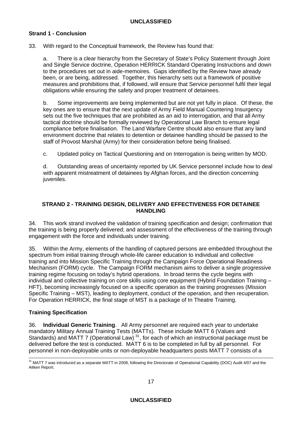#### **Strand 1 - Conclusion**

33. With regard to the Conceptual framework, the Review has found that:

a. There is a clear hierarchy from the Secretary of State's Policy Statement through Joint and Single Service doctrine, Operation HERRICK Standard Operating Instructions and down to the procedures set out in aide-memoires. Gaps identified by the Review have already been, or are being, addressed. Together, this hierarchy sets out a framework of positive measures and prohibitions that, if followed, will ensure that Service personnel fulfil their legal obligations while ensuring the safety and proper treatment of detainees.

b. Some improvements are being implemented but are not yet fully in place. Of these, the key ones are to ensure that the next update of Army Field Manual Countering Insurgency sets out the five techniques that are prohibited as an aid to interrogation, and that all Army tactical doctrine should be formally reviewed by Operational Law Branch to ensure legal compliance before finalisation. The Land Warfare Centre should also ensure that any land environment doctrine that relates to detention or detainee handling should be passed to the staff of Provost Marshal (Army) for their consideration before being finalised.

c. Updated policy on Tactical Questioning and on Interrogation is being written by MOD.

d. Outstanding areas of uncertainty reported by UK Service personnel include how to deal with apparent mistreatment of detainees by Afghan forces, and the direction concerning juveniles.

#### **STRAND 2 - TRAINING DESIGN, DELIVERY AND EFFECTIVENESS FOR DETAINEE HANDLING**

34. This work strand involved the validation of training specification and design; confirmation that the training is being properly delivered; and assessment of the effectiveness of the training through engagement with the force and individuals under training.

35. Within the Army, elements of the handling of captured persons are embedded throughout the spectrum from initial training through whole-life career education to individual and collective training and into Mission Specific Training through the Campaign Force Operational Readiness Mechanism (FORM) cycle. The Campaign FORM mechanism aims to deliver a single progressive training regime focusing on today's hybrid operations. In broad terms the cycle begins with individual and collective training on core skills using core equipment (Hybrid Foundation Training – HFT), becoming increasingly focused on a specific operation as the training progresses (Mission Specific Training – MST), leading to deployment, conduct of the operation, and then recuperation. For Operation HERRICK, the final stage of MST is a package of In Theatre Training.

#### **Training Specification**

36. **Individual Generic Training**.All Army personnel are required each year to undertake mandatory Military Annual Training Tests (MATTs). These include MATT 6 (Values and Standards) and MATT 7 (Operational Law)<sup>[31](#page-20-0)</sup>, for each of which an instructional package must be delivered before the test is conducted. MATT 6 is to be completed in full by all personnel. For personnel in non-deployable units or non-deployable headquarters posts MATT 7 consists of a

<span id="page-20-0"></span><sup>&</sup>lt;sup>31</sup> MATT 7 was introduced as a separate MATT in 2008, following the Directorate of Operational Capability (DOC) Audit 4/07 and the Aitken Report.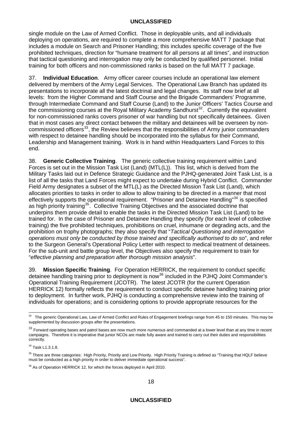single module on the Law of Armed Conflict. Those in deployable units, and all individuals deploying on operations, are required to complete a more comprehensive MATT 7 package that includes a module on Search and Prisoner Handling; this includes specific coverage of the five prohibited techniques, direction for "humane treatment for all persons at all times", and instruction that tactical questioning and interrogation may only be conducted by qualified personnel. Initial training for both officers and non-commissioned ranks is based on the full MATT 7 package.

37. **Individual Education**. Army officer career courses include an operational law element delivered by members of the Army Legal Services. The Operational Law Branch has updated its presentations to incorporate all the latest doctrinal and legal changes. Its staff now brief at all levels: from the Higher Command and Staff Course and the Brigade Commanders' Programme, through Intermediate Command and Staff Course (Land) to the Junior Officers' Tactics Course and the commissioning courses at the Royal Military Academy Sandhurst<sup>[32](#page-21-0)</sup>. Currently the equivalent for non-commissioned ranks covers prisoner of war handling but not specifically detainees. Given that in most cases any direct contact between the military and detainees will be overseen by non-commissioned officers<sup>[33](#page-21-1)</sup>, the Review believes that the responsibilities of Army junior commanders with respect to detainee handling should be incorporated into the syllabus for their Command, Leadership and Management training. Work is in hand within Headquarters Land Forces to this end.

38. **Generic Collective Training**. The generic collective training requirement within Land Forces is set out in the Mission Task List (Land) (MTL(L)). This list, which is derived from the Military Tasks laid out in Defence Strategic Guidance and the PJHQ-generated Joint Task List, is a list of all the tasks that Land Forces might expect to undertake during Hybrid Conflict. Commander Field Army designates a subset of the MTL(L) as the Directed Mission Task List (Land), which allocates priorities to tasks in order to allow to allow training to be directed in a manner that most effectively supports the operational requirement. "Prisoner and Detainee Handling"<sup>[34](#page-21-2)</sup> is specified as high priority training<sup>[35](#page-21-3)</sup>. Collective Training Objectives and the associated doctrine that underpins them provide detail to enable the tasks in the Directed Mission Task List (Land) to be trained for. In the case of Prisoner and Detainee Handling they specify (for each level of collective training) the five prohibited techniques, prohibitions on cruel, inhumane or degrading acts, and the prohibition on trophy photographs; they also specify that "*Tactical Questioning and interrogation operations must only be conducted by those trained and specifically authorised to do so*", and refer to the Surgeon General's Operational Policy Letter with respect to medical treatment of detainees. For the sub-unit and battle group level, the Objectives also specify the requirement to train for "*effective planning and preparation after thorough mission analysis*".

39. **Mission Specific Training**. For Operation HERRICK, the requirement to conduct specific detainee handling training prior to deployment is now[36](#page-21-4) included in the PJHQ Joint Commander's Operational Training Requirement (JCOTR). The latest JCOTR (for the current Operation HERRICK 12) formally reflects the requirement to conduct specific detainee handling training prior to deployment. In further work, PJHQ is conducting a comprehensive review into the training of individuals for operations; and is considering options to provide appropriate resources for the

<span id="page-21-0"></span><sup>32</sup> The generic Operational Law, Law of Armed Conflict and Rules of Engagement briefings range from 45 to 150 minutes. This may be supplemented by discussion groups after the presentations.

<span id="page-21-1"></span><sup>&</sup>lt;sup>33</sup> Forward operating bases and patrol bases are now much more numerous and commanded at a lower level than at any time in recent campaigns. Therefore it is imperative that junior NCOs are made fully aware and trained to carry out their duties and responsibilities correctly.

<span id="page-21-2"></span><sup>&</sup>lt;sup>34</sup> Task L1.3.1.8.

<span id="page-21-3"></span><sup>&</sup>lt;sup>35</sup> There are three categories: High Priority. Priority and Low Priority. High Priority Training is defined as "Training that HQLF believe must be conducted as a high priority in order to deliver immediate operational success".

<span id="page-21-4"></span><sup>&</sup>lt;sup>36</sup> As of Operation HERRICK 12, for which the forces deployed in April 2010.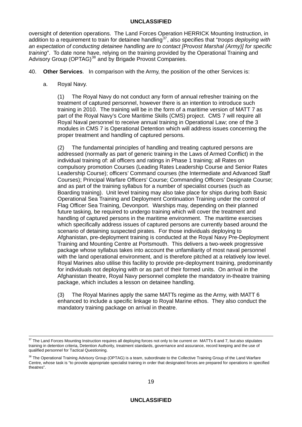oversight of detention operations. The Land Forces Operation HERRICK Mounting Instruction, in addition to a requirement to train for detainee handling<sup>37</sup>, also specifies that "*troops deploying with an expectation of conducting detainee handling are to contact [Provost Marshal (Army)] for specific training*". To date none have, relying on the training provided by the Operational Training and Advisory Group (OPTAG)<sup>38</sup> and by Brigade Provost Companies.

- 40. **Other Services**. In comparison with the Army, the position of the other Services is:
	- a. Royal Navy.

(1) The Royal Navy do not conduct any form of annual refresher training on the treatment of captured personnel, however there is an intention to introduce such training in 2010. The training will be in the form of a maritime version of MATT 7 as part of the Royal Navy's Core Maritime Skills (CMS) project. CMS 7 will require all Royal Naval personnel to receive annual training in Operational Law; one of the 3 modules in CMS 7 is Operational Detention which will address issues concerning the proper treatment and handling of captured persons.

(2) The fundamental principles of handling and treating captured persons are addressed (normally as part of generic training in the Laws of Armed Conflict) in the individual training of: all officers and ratings in Phase 1 training; all Rates on compulsory promotion Courses (Leading Rates Leadership Course and Senior Rates Leadership Course); officers' Command courses (the Intermediate and Advanced Staff Courses); Principal Warfare Officers' Course; Commanding Officers' Designate Course; and as part of the training syllabus for a number of specialist courses (such as Boarding training). Unit level training may also take place for ships during both Basic Operational Sea Training and Deployment Continuation Training under the control of Flag Officer Sea Training, Devonport. Warships may, depending on their planned future tasking, be required to undergo training which will cover the treatment and handling of captured persons in the maritime environment. The maritime exercises which specifically address issues of captured persons are currently based around the scenario of detaining suspected pirates. For those individuals deploying to Afghanistan, pre-deployment training is conducted at the Royal Navy Pre-Deployment Training and Mounting Centre at Portsmouth. This delivers a two-week progressive package whose syllabus takes into account the unfamiliarity of most naval personnel with the land operational environment, and is therefore pitched at a relatively low level. Royal Marines also utilise this facility to provide pre-deployment training, predominantly for individuals not deploying with or as part of their formed units. On arrival in the Afghanistan theatre, Royal Navy personnel complete the mandatory in-theatre training package, which includes a lesson on detainee handling.

(3) The Royal Marines apply the same MATTs regime as the Army, with MATT 6 enhanced to include a specific linkage to Royal Marine ethos. They also conduct the mandatory training package on arrival in theatre.

 $37$  The Land Forces Mounting Instruction requires all deploying forces not only to be current on MATTs 6 and 7, but also stipulates training in detention criteria, Detention Authority, treatment standards, governance and assurance, record keeping and the use of qualified personnel for Tactical Questioning.

<sup>&</sup>lt;sup>38</sup> The Operational Training Advisory Group (OPTAG) is a team, subordinate to the Collective Training Group of the Land Warfare Centre, whose task is "to provide appropriate specialist training in order that designated forces are prepared for operations in specified theatres".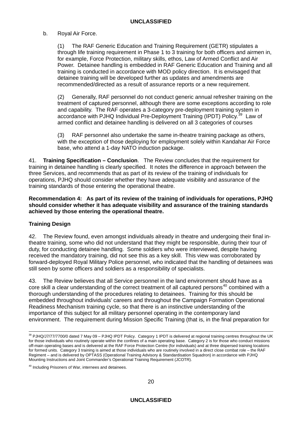#### b. Royal Air Force.

(1) The RAF Generic Education and Training Requirement (GETR) stipulates a through life training requirement in Phase 1 to 3 training for both officers and airmen in, for example, Force Protection, military skills, ethos, Law of Armed Conflict and Air Power. Detainee handling is embedded in RAF Generic Education and Training and all training is conducted in accordance with MOD policy direction. It is envisaged that detainee training will be developed further as updates and amendments are recommended/directed as a result of assurance reports or a new requirement.

(2) Generally, RAF personnel do not conduct generic annual refresher training on the treatment of captured personnel, although there are some exceptions according to role and capability. The RAF operates a 3-category pre-deployment training system in accordance with PJHQ Individual Pre-Deployment Training (IPDT) Policy.<sup>[39](#page-23-0)</sup> Law of armed conflict and detainee handling is delivered on all 3 categories of courses

(3) RAF personnel also undertake the same in-theatre training package as others, with the exception of those deploying for employment solely within Kandahar Air Force base, who attend a 1-day NATO induction package.

41. **Training Specification – Conclusion**. The Review concludes that the requirement for training in detainee handling is clearly specified. It notes the difference in approach between the three Services, and recommends that as part of its review of the training of individuals for operations, PJHQ should consider whether they have adequate visibility and assurance of the training standards of those entering the operational theatre.

**Recommendation 4: As part of its review of the training of individuals for operations, PJHQ should consider whether it has adequate visibility and assurance of the training standards achieved by those entering the operational theatre.** 

#### **Training Design**

42. The Review found, even amongst individuals already in theatre and undergoing their final intheatre training, some who did not understand that they might be responsible, during their tour of duty, for conducting detainee handling. Some soldiers who were interviewed, despite having received the mandatory training, did not see this as a key skill. This view was corroborated by forward-deployed Royal Military Police personnel, who indicated that the handling of detainees was still seen by some officers and soldiers as a responsibility of specialists.

43. The Review believes that all Service personnel in the land environment should have as a core skill a clear understanding of the correct treatment of all captured persons<sup>[40](#page-23-1)</sup> combined with a thorough understanding of the procedures relating to detainees. Training for this should be embedded throughout individuals' careers and throughout the Campaign Formation Operational Readiness Mechanism training cycle, so that there is an instinctive understanding of the importance of this subject for all military personnel operating in the contemporary land environment. The requirement during Mission Specific Training (that is, in the final preparation for

<span id="page-23-1"></span><sup>40</sup> Including Prisoners of War, internees and detainees.

<span id="page-23-0"></span> $39$  PJHQ/J7/77/7700/0 dated 7 May 09 – PJHQ IPDT Policy. Category 1 IPDT is delivered at regional training centres throughout the UK for those individuals who routinely operate within the confines of a main operating base. Category 2 is for those who conduct missions off-main operating bases and is delivered at the RAF Force Protection Centre (for individuals) and at three dispersed training locations for formed units. Category 3 training is aimed at those individuals who are routinely involved in a direct close combat role – the RAF Regiment – and is delivered by OPTASS (Operational Training Advisory & Standardisation Squadron) in accordance with PJHQ Mounting Instructions and Joint Commander's Operational Training Requirement (JCOTR).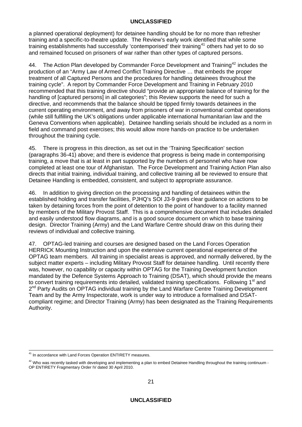a planned operational deployment) for detainee handling should be for no more than refresher training and a specific-to-theatre update. The Review's early work identified that while some training establishments had successfully 'contemporised' their training<sup>41</sup> others had yet to do so and remained focused on prisoners of war rather than other types of captured persons.

44. The Action Plan developed by Commander Force Development and Training<sup>[42](#page-24-0)</sup> includes the production of an "Army Law of Armed Conflict Training Directive … that embeds the proper treatment of all Captured Persons and the procedures for handling detainees throughout the training cycle". A report by Commander Force Development and Training in February 2010 recommended that this training directive should "provide an appropriate balance of training for the handling of [captured persons] in all categories"; this Review supports the need for such a directive, and recommends that the balance should be tipped firmly towards detainees in the current operating environment, and away from prisoners of war in conventional combat operations (while still fulfilling the UK's obligations under applicable international humanitarian law and the Geneva Conventions when applicable). Detainee handling serials should be included as a norm in field and command post exercises; this would allow more hands-on practice to be undertaken throughout the training cycle.

45. There is progress in this direction, as set out in the 'Training Specification' section (paragraphs 36-41) above; and there is evidence that progress is being made in contemporising training, a move that is at least in part supported by the numbers of personnel who have now completed at least one tour of Afghanistan. The Force Development and Training Action Plan also directs that initial training, individual training, and collective training all be reviewed to ensure that Detainee Handling is embedded, consistent, and subject to appropriate assurance.

46. In addition to giving direction on the processing and handling of detainees within the established holding and transfer facilities, PJHQ's SOI J3-9 gives clear guidance on actions to be taken by detaining forces from the point of detention to the point of handover to a facility manned by members of the Military Provost Staff. This is a comprehensive document that includes detailed and easily understood flow diagrams, and is a good source document on which to base training design. Director Training (Army) and the Land Warfare Centre should draw on this during their reviews of individual and collective training.

47. OPTAG-led training and courses are designed based on the Land Forces Operation HERRICK Mounting Instruction and upon the extensive current operational experience of the OPTAG team members. All training in specialist areas is approved, and normally delivered, by the subject matter experts – including Military Provost Staff for detainee handling. Until recently there was, however, no capability or capacity within OPTAG for the Training Development function mandated by the Defence Systems Approach to Training (DSAT), which should provide the means to convert training requirements into detailed, validated training specifications. Following 1<sup>st</sup> and  $2<sup>nd</sup>$  Party Audits on OPTAG individual training by the Land Warfare Centre Training Development Team and by the Army Inspectorate, work is under way to introduce a formalised and DSATcompliant regime; and Director Training (Army) has been designated as the Training Requirements Authority.

 $\overline{a}$ <sup>41</sup> In accordance with Land Forces Operation ENTIRETY measures.

<span id="page-24-0"></span><sup>&</sup>lt;sup>42</sup> Who was recently tasked with developing and implementing a plan to embed Detainee Handling throughout the training continuum -OP ENTIRETY Fragmentary Order IV dated 30 April 2010.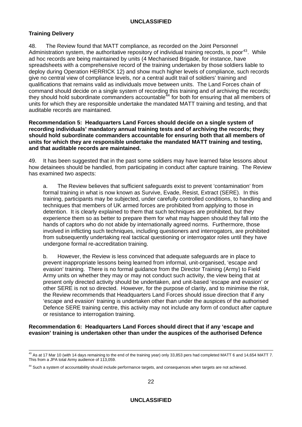# **Training Delivery**

48. The Review found that MATT compliance, as recorded on the Joint Personnel Administration system, the authoritative repository of individual training records, is poor<sup>[43](#page-25-0)</sup>. While ad hoc records are being maintained by units (4 Mechanised Brigade, for instance, have spreadsheets with a comprehensive record of the training undertaken by those soldiers liable to deploy during Operation HERRICK 12) and show much higher levels of compliance, such records give no central view of compliance levels, nor a central audit trail of soldiers' training and qualifications that remains valid as individuals move between units. The Land Forces chain of command should decide on a single system of recording this training and of archiving the records; they should hold subordinate commanders accountable[44](#page-25-1) for both for ensuring that all members of units for which they are responsible undertake the mandated MATT training and testing, and that auditable records are maintained.

#### **Recommendation 5: Headquarters Land Forces should decide on a single system of recording individuals' mandatory annual training tests and of archiving the records; they should hold subordinate commanders accountable for ensuring both that all members of units for which they are responsible undertake the mandated MATT training and testing, and that auditable records are maintained.**

49. It has been suggested that in the past some soldiers may have learned false lessons about how detainees should be handled, from participating in conduct after capture training. The Review has examined two aspects:

a. The Review believes that sufficient safeguards exist to prevent 'contamination' from formal training in what is now known as Survive, Evade, Resist, Extract (SERE). In this training, participants may be subjected, under carefully controlled conditions, to handling and techniques that members of UK armed forces are prohibited from applying to those in detention. It is clearly explained to them that such techniques are prohibited, but they experience them so as better to prepare them for what may happen should they fall into the hands of captors who do not abide by internationally agreed norms. Furthermore, those involved in inflicting such techniques, including questioners and interrogators, are prohibited from subsequently undertaking real tactical questioning or interrogator roles until they have undergone formal re-accreditation training.

b. However, the Review is less convinced that adequate safeguards are in place to prevent inappropriate lessons being learned from informal, unit-organised, 'escape and evasion' training. There is no formal guidance from the Director Training (Army) to Field Army units on whether they may or may not conduct such activity, the view being that at present only directed activity should be undertaken, and unit-based 'escape and evasion' or other SERE is not so directed. However, for the purpose of clarity, and to minimise the risk, the Review recommends that Headquarters Land Forces should issue direction that if any 'escape and evasion' training is undertaken other than under the auspices of the authorised Defence SERE training centre, this activity may not include any form of conduct after capture or resistance to interrogation training.

#### **Recommendation 6: Headquarters Land Forces should direct that if any 'escape and evasion' training is undertaken other than under the auspices of the authorised Defence**

<span id="page-25-0"></span> $\overline{a}$ <sup>43</sup> As at 17 Mar 10 (with 14 days remaining to the end of the training year) only 33,853 pers had completed MATT 6 and 14,654 MATT 7. This from a JPA total Army audience of 113,059.

<span id="page-25-1"></span><sup>&</sup>lt;sup>44</sup> Such a system of accountability should include performance targets, and consequences when targets are not achieved.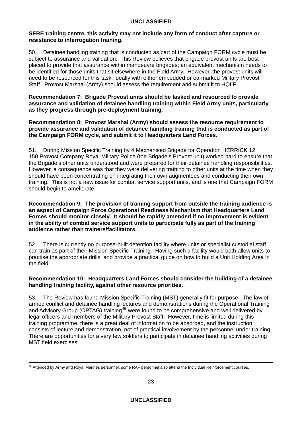#### **SERE training centre, this activity may not include any form of conduct after capture or resistance to interrogation training.**

50. Detainee handling training that is conducted as part of the Campaign FORM cycle must be subject to assurance and validation. This Review believes that brigade provost units are best placed to provide that assurance within manoeuvre brigades; an equivalent mechanism needs to be identified for those units that sit elsewhere in the Field Army. However, the provost units will need to be resourced for this task, ideally with either embedded or earmarked Military Provost Staff. Provost Marshal (Army) should assess the requirement and submit it to HQLF.

**Recommendation 7: Brigade Provost units should be tasked and resourced to provide assurance and validation of detainee handling training within Field Army units, particularly as they progress through pre-deployment training.** 

#### **Recommendation 8: Provost Marshal (Army) should assess the resource requirement to provide assurance and validation of detainee handling training that is conducted as part of the Campaign FORM cycle, and submit it to Headquarters Land Forces.**

51. During Mission Specific Training by 4 Mechanised Brigade for Operation HERRICK 12, 150 Provost Company Royal Military Police (the Brigade's Provost unit) worked hard to ensure that the Brigade's other units understood and were prepared for their detainee handling responsibilities. However, a consequence was that they were delivering training to other units at the time when they should have been concentrating on integrating their own augmentees and conducting their own training. This is not a new issue for combat service support units, and is one that Campaign FORM should begin to ameliorate.

#### **Recommendation 9: The provision of training support from outside the training audience is an aspect of Campaign Force Operational Readiness Mechanism that Headquarters Land Forces should monitor closely. It should be rapidly amended if no improvement is evident in the ability of combat service support units to participate fully as part of the training audience rather than trainers/facilitators.**

52. There is currently no purpose-built detention facility where units or specialist custodial staff can train as part of their Mission Specific Training. Having such a facility would both allow units to practise the appropriate drills, and provide a practical guide on how to build a Unit Holding Area in the field.

# **Recommendation 10: Headquarters Land Forces should consider the building of a detainee handling training facility, against other resource priorities.**

53. The Review has found Mission Specific Training (MST) generally fit for purpose. The law of armed conflict and detainee handling lectures and demonstrations during the Operational Training and Advisory Group (OPTAG) training<sup>[45](#page-26-0)</sup> were found to be comprehensive and well delivered by legal officers and members of the Military Provost Staff. However, time is limited during this training programme, there is a great deal of information to be absorbed, and the instruction consists of lecture and demonstration, not of practical involvement by the personnel under training. There are opportunities for a very few soldiers to participate in detainee handling activities during MST field exercises.

<span id="page-26-0"></span> $\overline{a}$ <sup>45</sup> Attended by Army and Royal Marines personnel; some RAF personnel also attend the Individual Reinforcement courses.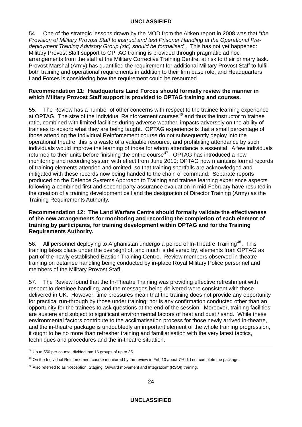54. One of the strategic lessons drawn by the MOD from the Aitken report in 2008 was that "*the Provision of Military Provost Staff to instruct and test Prisoner Handling at the Operational Predeployment Training Advisory Group (sic) should be formalised*". This has not yet happened: Military Provost Staff support to OPTAG training is provided through pragmatic ad hoc arrangements from the staff at the Military Corrective Training Centre, at risk to their primary task. Provost Marshal (Army) has quantified the requirement for additional Military Provost Staff to fulfil both training and operational requirements in addition to their firm base role, and Headquarters Land Forces is considering how the requirement could be resourced.

#### **Recommendation 11: Headquarters Land Forces should formally review the manner in which Military Provost Staff support is provided to OPTAG training and courses.**

55. The Review has a number of other concerns with respect to the trainee learning experience at OPTAG. The size of the Individual Reinforcement courses<sup>[46](#page-27-0)</sup> and thus the instructor to trainee ratio, combined with limited facilities during adverse weather, impacts adversely on the ability of trainees to absorb what they are being taught. OPTAG experience is that a small percentage of those attending the Individual Reinforcement course do not subsequently deploy into the operational theatre; this is a waste of a valuable resource, and prohibiting attendance by such individuals would improve the learning of those for whom attendance is essential. A few individuals returned to their units before finishing the entire course<sup>[47](#page-27-1)</sup>. OPTAG has introduced a new monitoring and recording system with effect from June 2010; OPTAG now maintains formal records of training elements attended and omitted, so that training shortfalls are acknowledged and mitigated with these records now being handed to the chain of command. Separate reports produced on the Defence Systems Approach to Training and trainee learning experience aspects following a combined first and second party assurance evaluation in mid-February have resulted in the creation of a training development cell and the designation of Director Training (Army) as the Training Requirements Authority.

#### **Recommendation 12: The Land Warfare Centre should formally validate the effectiveness of the new arrangements for monitoring and recording the completion of each element of training by participants, for training development within OPTAG and for the Training Requirements Authority.**

56. All personnel deploying to Afghanistan undergo a period of In-Theatre Training<sup>[48](#page-27-2)</sup>. This training takes place under the oversight of, and much is delivered by, elements from OPTAG as part of the newly established Bastion Training Centre. Review members observed in-theatre training on detainee handling being conducted by in-place Royal Military Police personnel and members of the Military Provost Staff.

57. The Review found that the In-Theatre Training was providing effective refreshment with respect to detainee handling, and the messages being delivered were consistent with those delivered in UK. However, time pressures mean that the training does not provide any opportunity for practical run-through by those under training; nor is any confirmation conducted other than an opportunity for the trainees to ask questions at the end of the session. Moreover, training facilities are austere and subject to significant environmental factors of heat and dust / sand. While these environmental factors contribute to the acclimatisation process for those newly arrived in-theatre, and the in-theatre package is undoubtedly an important element of the whole training progression, it ought to be no more than refresher training and familiarisation with the very latest tactics, techniques and procedures and the in-theatre situation.

 $\overline{a}$ 

<span id="page-27-0"></span> $46$  Up to 550 per course, divided into 16 groups of up to 35.

<span id="page-27-1"></span> $47$  On the Individual Reinforcement course monitored by the review in Feb 10 about 7% did not complete the package.

<span id="page-27-2"></span><sup>&</sup>lt;sup>48</sup> Also referred to as "Reception, Staging, Onward movement and Integration" (RSOI) training.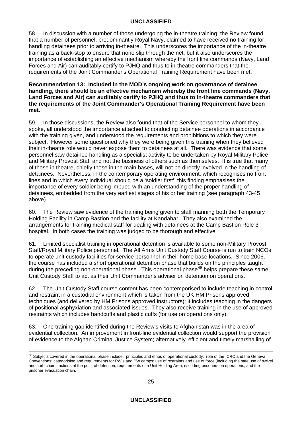58. In discussion with a number of those undergoing the in-theatre training, the Review found that a number of personnel, predominantly Royal Navy, claimed to have received no training for handling detainees prior to arriving in-theatre. This underscores the importance of the in-theatre training as a back-stop to ensure that none slip through the net; but it also underscores the importance of establishing an effective mechanism whereby the front line commands (Navy, Land Forces and Air) can auditably certify to PJHQ and thus to in-theatre commanders that the requirements of the Joint Commander's Operational Training Requirement have been met.

#### **Recommendation 13: Included in the MOD's ongoing work on governance of detainee handling, there should be an effective mechanism whereby the front line commands (Navy, Land Forces and Air) can auditably certify to PJHQ and thus to in-theatre commanders that the requirements of the Joint Commander's Operational Training Requirement have been met.**

59. In those discussions, the Review also found that of the Service personnel to whom they spoke, all understood the importance attached to conducting detainee operations in accordance with the training given, and understood the requirements and prohibitions to which they were subject. However some questioned why they were being given this training when they believed their in-theatre role would never expose them to detainees at all. There was evidence that some personnel saw detainee handling as a specialist activity to be undertaken by Royal Military Police and Military Provost Staff and not the business of others such as themselves. It is true that many of those in theatre, chiefly those in the main bases, will not be directly involved in the handling of detainees. Nevertheless, in the contemporary operating environment, which recognises no front lines and in which every individual should be a 'soldier first', this finding emphasises the importance of every soldier being imbued with an understanding of the proper handling of detainees, embedded from the very earliest stages of his or her training (see paragraph 43-45 above).

60. The Review saw evidence of the training being given to staff manning both the Temporary Holding Facility in Camp Bastion and the facility at Kandahar. They also examined the arrangements for training medical staff for dealing with detainees at the Camp Bastion Role 3 hospital. In both cases the training was judged to be thorough and effective.

61. Limited specialist training in operational detention is available to some non-Military Provost Staff/Royal Military Police personnel. The All Arms Unit Custody Staff Course is run to train NCOs to operate unit custody facilities for service personnel in their home base locations. Since 2006, the course has included a short operational detention phase that builds on the principles taught during the preceding non-operational phase. This operational phase<sup>[49](#page-28-0)</sup> helps prepare these same Unit Custody Staff to act as their Unit Commander's adviser on detention on operations.

62. The Unit Custody Staff course content has been contemporised to include teaching in control and restraint in a custodial environment which is taken from the UK HM Prisons approved techniques (and delivered by HM Prisons approved instructors); it includes teaching in the dangers of positional asphyxiation and associated issues. They also receive training in the use of approved restraints which includes handcuffs and plastic cuffs (for use on operations only).

63. One training gap identified during the Review's visits to Afghanistan was in the area of evidential collection. An improvement in front-line evidential collection would support the provision of evidence to the Afghan Criminal Justice System; alternatively, efficient and timely marshalling of

<span id="page-28-0"></span><sup>&</sup>lt;sup>49</sup> Subjects covered in the operational phase include: principles and ethos of operational custody; role of the ICRC and the Geneva Conventions; categorising and requirements for PW's and PW camps; use of restraints and use of force (including the safe use of swivel and curb chain; actions at the point of detention; requirements of a Unit Holding Area; escorting prisoners on operations; and the prisoner evacuation chain.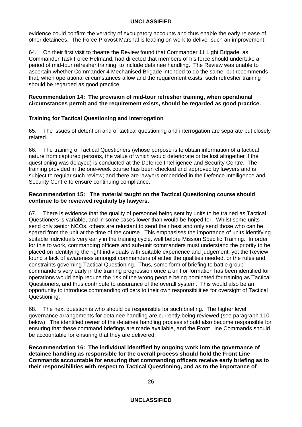evidence could confirm the veracity of exculpatory accounts and thus enable the early release of other detainees. The Force Provost Marshal is leading on work to deliver such an improvement.

64. On their first visit to theatre the Review found that Commander 11 Light Brigade, as Commander Task Force Helmand, had directed that members of his force should undertake a period of mid-tour refresher training, to include detainee handling. The Review was unable to ascertain whether Commander 4 Mechanised Brigade intended to do the same, but recommends that, when operational circumstances allow and the requirement exists, such refresher training should be regarded as good practice.

#### **Recommendation 14: The provision of mid-tour refresher training, when operational circumstances permit and the requirement exists, should be regarded as good practice.**

# **Training for Tactical Questioning and Interrogation**

65. The issues of detention and of tactical questioning and interrogation are separate but closely related.

66. The training of Tactical Questioners (whose purpose is to obtain information of a tactical nature from captured persons, the value of which would deteriorate or be lost altogether if the questioning was delayed) is conducted at the Defence Intelligence and Security Centre. The training provided in the one-week course has been checked and approved by lawyers and is subject to regular such review; and there are lawyers embedded in the Defence Intelligence and Security Centre to ensure continuing compliance.

#### **Recommendation 15: The material taught on the Tactical Questioning course should continue to be reviewed regularly by lawyers.**

67. There is evidence that the quality of personnel being sent by units to be trained as Tactical Questioners is variable, and in some cases lower than would be hoped for. Whilst some units send only senior NCOs, others are reluctant to send their best and only send those who can be spared from the unit at the time of the course. This emphasises the importance of units identifying suitable individuals very early in the training cycle, well before Mission Specific Training. In order for this to work, commanding officers and sub-unit commanders must understand the priority to be placed on identifying the right individuals with suitable experience and judgement; yet the Review found a lack of awareness amongst commanders of either the qualities needed, or the rules and constraints governing Tactical Questioning. Thus, some form of briefing to battle group commanders very early in the training progression once a unit or formation has been identified for operations would help reduce the risk of the wrong people being nominated for training as Tactical Questioners, and thus contribute to assurance of the overall system. This would also be an opportunity to introduce commanding officers to their own responsibilities for oversight of Tactical Questioning.

68. The next question is who should be responsible for such briefing. The higher level governance arrangements for detainee handling are currently being reviewed (see paragraph 110 below). The identified owner of the detainee handling process should also become responsible for ensuring that these command briefings are made available, and the Front Line Commands should be accountable for ensuring that they are delivered.

**Recommendation 16: The individual identified by ongoing work into the governance of detainee handling as responsible for the overall process should hold the Front Line Commands accountable for ensuring that commanding officers receive early briefing as to their responsibilities with respect to Tactical Questioning, and as to the importance of**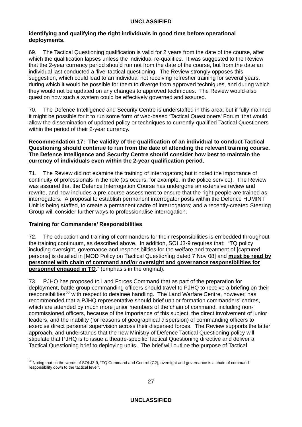#### **identifying and qualifying the right individuals in good time before operational deployments.**

69. The Tactical Questioning qualification is valid for 2 years from the date of the course, after which the qualification lapses unless the individual re-qualifies. It was suggested to the Review that the 2-year currency period should run not from the date of the course, but from the date an individual last conducted a 'live' tactical questioning. The Review strongly opposes this suggestion, which could lead to an individual not receiving refresher training for several years, during which it would be possible for them to diverge from approved techniques, and during which they would not be updated on any changes to approved techniques. The Review would also question how such a system could be effectively governed and assured.

70. The Defence Intelligence and Security Centre is understaffed in this area; but if fully manned it might be possible for it to run some form of web-based 'Tactical Questioners' Forum' that would allow the dissemination of updated policy or techniques to currently-qualified Tactical Questioners within the period of their 2-year currency.

#### **Recommendation 17: The validity of the qualification of an individual to conduct Tactical Questioning should continue to run from the date of attending the relevant training course. The Defence Intelligence and Security Centre should consider how best to maintain the currency of individuals even within the 2-year qualification period.**

71. The Review did not examine the training of interrogators; but it noted the importance of continuity of professionals in the role (as occurs, for example, in the police service). The Review was assured that the Defence Interrogation Course has undergone an extensive review and rewrite, and now includes a pre-course assessment to ensure that the right people are trained as interrogators. A proposal to establish permanent interrogator posts within the Defence HUMINT Unit is being staffed, to create a permanent cadre of interrogators; and a recently-created Steering Group will consider further ways to professionalise interrogation.

# **Training for Commanders' Responsibilities**

72. The education and training of commanders for their responsibilities is embedded throughout the training continuum, as described above. In addition, SOI J3-9 requires that: "TQ policy including oversight, governance and responsibilities for the welfare and treatment of [captured persons] is detailed in [MOD Policy on Tactical Questioning dated 7 Nov 08] and **must be read by personnel with chain of command and/or oversight and governance responsibilities for personnel engaged in TQ**." (emphasis in the original).

73. PJHQ has proposed to Land Forces Command that as part of the preparation for deployment, battle group commanding officers should travel to PJHQ to receive a briefing on their responsibilities<sup>[50](#page-30-0)</sup> with respect to detainee handling. The Land Warfare Centre, however, has recommended that a PJHQ representative should brief unit or formation commanders' cadres, which are attended by much more junior members of the chain of command, including noncommissioned officers, because of the importance of this subject, the direct involvement of junior leaders, and the inability (for reasons of geographical dispersion) of commanding officers to exercise direct personal supervision across their dispersed forces. The Review supports the latter approach, and understands that the new Ministry of Defence Tactical Questioning policy will stipulate that PJHQ is to issue a theatre-specific Tactical Questioning directive and deliver a Tactical Questioning brief to deploying units. The brief will outline the purpose of Tactical

<span id="page-30-0"></span> <sup>50</sup> Noting that, in the words of SOI J3-9, "TQ Command and Control (C2), oversight and governance is a chain of command responsibility down to the tactical level".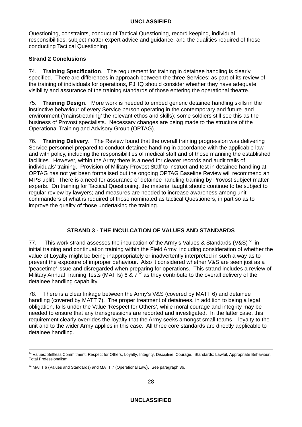Questioning, constraints, conduct of Tactical Questioning, record keeping, individual responsibilities, subject matter expert advice and guidance, and the qualities required of those conducting Tactical Questioning.

# **Strand 2 Conclusions**

74. **Training Specification**. The requirement for training in detainee handling is clearly specified. There are differences in approach between the three Services; as part of its review of the training of individuals for operations, PJHQ should consider whether they have adequate visibility and assurance of the training standards of those entering the operational theatre.

75. **Training Design**. More work is needed to embed generic detainee handling skills in the instinctive behaviour of every Service person operating in the contemporary and future land environment ('mainstreaming' the relevant ethos and skills); some soldiers still see this as the business of Provost specialists. Necessary changes are being made to the structure of the Operational Training and Advisory Group (OPTAG).

76. **Training Delivery**. The Review found that the overall training progression was delivering Service personnel prepared to conduct detainee handling in accordance with the applicable law and with policy, including the responsibilities of medical staff and of those manning the established facilities. However, within the Army there is a need for clearer records and audit trails of individuals' training. Provision of Military Provost Staff to instruct and test in detainee handling at OPTAG has not yet been formalised but the ongoing OPTAG Baseline Review will recommend an MPS uplift. There is a need for assurance of detainee handling training by Provost subject matter experts. On training for Tactical Questioning, the material taught should continue to be subject to regular review by lawyers; and measures are needed to increase awareness among unit commanders of what is required of those nominated as tactical Questioners, in part so as to improve the quality of those undertaking the training.

# **STRAND 3 - THE INCULCATION OF VALUES AND STANDARDS**

initial training and continuation training within the Field Army, including consideration of whether the 77. This work strand assesses the inculcation of the Army's Values & Standards (V&S)<sup>[51](#page-31-0)</sup> in value of Loyalty might be being inappropriately or inadvertently interpreted in such a way as to prevent the exposure of improper behaviour. Also it considered whether V&S are seen just as a 'peacetime' issue and disregarded when preparing for operations. This strand includes a review of Military Annual Training Tests (MATTs) 6  $\& 7^{52}$  $\& 7^{52}$  $\& 7^{52}$  as they contribute to the overall delivery of the detainee handling capability.

78. There is a clear linkage between the Army's V&S (covered by MATT 6) and detainee handling (covered by MATT 7). The proper treatment of detainees, in addition to being a legal obligation, falls under the Value 'Respect for Others', while moral courage and integrity may be needed to ensure that any transgressions are reported and investigated. In the latter case, this requirement clearly overrides the loyalty that the Army seeks amongst small teams – loyalty to the unit and to the wider Army applies in this case. All three core standards are directly applicable to detainee handling.

<span id="page-31-0"></span> $\overline{a}$ <sup>51</sup> Values: Selfless Commitment, Respect for Others, Loyalty, Integrity, Discipline, Courage. Standards: Lawful, Appropriate Behaviour, Total Professionalism.

<span id="page-31-1"></span><sup>52</sup> MATT 6 (Values and Standards) and MATT 7 (Operational Law). See paragraph 36.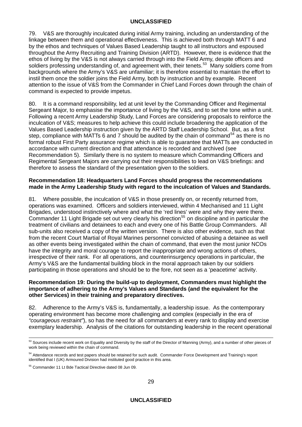79. V&S are thoroughly inculcated during initial Army training, including an understanding of the linkage between them and operational effectiveness. This is achieved both through MATT 6 and by the ethos and techniques of Values Based Leadership taught to all instructors and espoused throughout the Army Recruiting and Training Division (ARTD). However, there is evidence that the ethos of living by the V&S is not always carried through into the Field Army, despite officers and soldiers professing understanding of, and agreement with, their tenets.<sup>[53](#page-32-0)</sup> Many soldiers come from backgrounds where the Army's V&S are unfamiliar; it is therefore essential to maintain the effort to instil them once the soldier joins the Field Army, both by instruction and by example. Recent attention to the issue of V&S from the Commander in Chief Land Forces down through the chain of command is expected to provide impetus.

80. It is a command responsibility, led at unit level by the Commanding Officer and Regimental Sergeant Major, to emphasise the importance of living by the V&S, and to set the tone within a unit. Following a recent Army Leadership Study, Land Forces are considering proposals to reinforce the inculcation of V&S; measures to help achieve this could include broadening the application of the Values Based Leadership instruction given by the ARTD Staff Leadership School. But, as a first step, compliance with MATTs 6 and 7 should be audited by the chain of command<sup>[54](#page-32-1)</sup> as there is no formal robust First Party assurance regime which is able to guarantee that MATTs are conducted in accordance with current direction and that attendance is recorded and archived (see Recommendation 5). Similarly there is no system to measure which Commanding Officers and Regimental Sergeant Majors are carrying out their responsibilities to lead on V&S briefings: and therefore to assess the standard of the presentation given to the soldiers.

#### **Recommendation 18: Headquarters Land Forces should progress the recommendations made in the Army Leadership Study with regard to the inculcation of Values and Standards.**

81. Where possible, the inculcation of V&S in those presently on, or recently returned from, operations was examined. Officers and soldiers interviewed, within 4 Mechanised and 11 Light Brigades, understood instinctively where and what the 'red lines' were and why they were there. Commander 11 Light Brigade set out very clearly his direction<sup>[55](#page-32-2)</sup> on discipline and in particular the treatment of civilians and detainees to each and every one of his Battle Group Commanders. All sub-units also received a copy of the written version. There is also other evidence, such as that from the recent Court Martial of Royal Marines personnel convicted of abusing a detainee as well as other events being investigated within the chain of command, that even the most junior NCOs have the integrity and moral courage to report the inappropriate and wrong actions of others, irrespective of their rank. For all operations, and counterinsurgency operations in particular, the Army's V&S are the fundamental building block in the moral approach taken by our soldiers participating in those operations and should be to the fore, not seen as a 'peacetime' activity.

#### **Recommendation 19: During the build-up to deployment, Commanders must highlight the importance of adhering to the Army's Values and Standards (and the equivalent for the other Services) in their training and preparatory directives.**

82. Adherence to the Army's V&S is, fundamentally, a leadership issue. As the contemporary operating environment has become more challenging and complex (especially in the era of *"courageous restraint"*), so has the need for all commanders at every rank to display and exercise exemplary leadership. Analysis of the citations for outstanding leadership in the recent operational

<span id="page-32-0"></span><sup>&</sup>lt;sup>53</sup> Sources include recent work on Equality and Diversity by the staff of the Director of Manning (Army), and a number of other pieces of work being reviewed within the chain of command.

<span id="page-32-1"></span><sup>&</sup>lt;sup>54</sup> Attendance records and test papers should be retained for such audit. Commander Force Development and Training's report identified that I (UK) Armoured Division had instituted good practice in this area.

<span id="page-32-2"></span><sup>55</sup> Commander 11 Lt Bde Tactical Directive dated 08 Jun 09.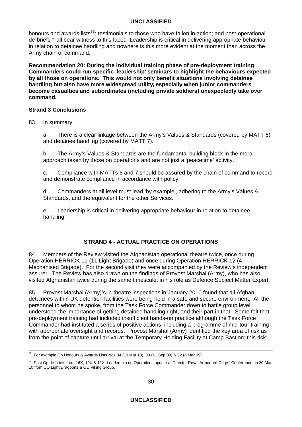in relation to detainee handling and nowhere is this more evident at the moment than across the honours and awards lists<sup>56</sup>; testimonials to those who have fallen in action; and post-operational de-briefs<sup>57</sup> all bear witness to this facet. Leadership is critical in delivering appropriate behaviour Army chain of command.

**Recommendation 20: During the individual training phase of pre-deployment training Commanders could run specific 'leadership' seminars to highlight the behaviours expected by all those on operations. This would not only benefit situations involving detainee handling but also have more widespread utility, especially when junior commanders become casualties and subordinates (including private soldiers) unexpectedly take over command.** 

#### **Strand 3 Conclusions**

83. In summary:

a. There is a clear linkage between the Army's Values & Standards (covered by MATT 6) and detainee handling (covered by MATT 7).

b. The Army's Values & Standards are the fundamental building block in the moral approach taken by those on operations and are not just a 'peacetime' activity.

c. Compliance with MATTs 6 and 7 should be assured by the chain of command to record and demonstrate compliance in accordance with policy.

d. Commanders at all level must lead 'by example', adhering to the Army's Values & Standards, and the equivalent for the other Services.

e. Leadership is critical in delivering appropriate behaviour in relation to detainee handling.

# **STRAND 4 - ACTUAL PRACTICE ON OPERATIONS**

84. Members of the Review visited the Afghanistan operational theatre twice, once during Operation HERRICK 11 (11 Light Brigade) and once during Operation HERRICK 12 (4 Mechanised Brigade). For the second visit they were accompanied by the Review's independent assurer. The Review has also drawn on the findings of Provost Marshal (Army), who has also visited Afghanistan twice during the same timescale, in his role as Defence Subject Matter Expert.

85. Provost Marshal (Army)'s in-theatre inspections in January 2010 found that all Afghan detainees within UK detention facilities were being held in a safe and secure environment. All the personnel to whom he spoke, from the Task Force Commander down to battle group level, understood the importance of getting detainee handling right, and their part in that. Some felt that pre-deployment training had included insufficient hands-on practice although the Task Force Commander had instituted a series of positive actions, including a programme of mid-tour training with appropriate oversight and records. Provost Marshal (Army) identified the key area of risk as from the point of capture until arrival at the Temporary Holding Facility at Camp Bastion; this risk

 $\overline{a}$  $^{56}$  For example Op Honours & Awards Lists Nos 34 (19 Mar 10), 33 (11 Sep 09) & 32 (6 Mar 09).

<sup>57</sup> Post Op de-briefs from 16X, 19X & 11X; Leadership on Operations update at Director Royal Armoured Corps' Conference on 30 Mar 10 from CO Light Dragoons & OC Viking Group.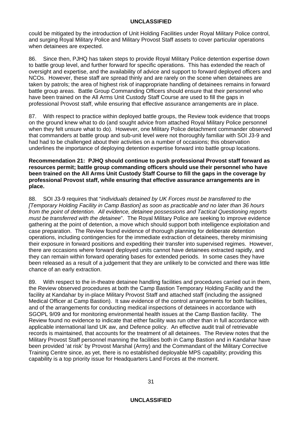could be mitigated by the introduction of Unit Holding Facilities under Royal Military Police control, and surging Royal Military Police and Military Provost Staff assets to cover particular operations when detainees are expected.

86. Since then, PJHQ has taken steps to provide Royal Military Police detention expertise down to battle group level, and further forward for specific operations. This has extended the reach of oversight and expertise, and the availability of advice and support to forward deployed officers and NCOs. However, these staff are spread thinly and are rarely on the scene when detainees are taken by patrols; the area of highest risk of inappropriate handling of detainees remains in forward battle group areas. Battle Group Commanding Officers should ensure that their personnel who have been trained on the All Arms Unit Custody Staff Course are used to fill the gaps in professional Provost staff, while ensuring that effective assurance arrangements are in place.

87. With respect to practice within deployed battle groups, the Review took evidence that troops on the ground knew what to do (and sought advice from attached Royal Military Police personnel when they felt unsure what to do). However, one Military Police detachment commander observed that commanders at battle group and sub-unit level were not thoroughly familiar with SOI J3-9 and had had to be challenged about their activities on a number of occasions; this observation underlines the importance of deploying detention expertise forward into battle group locations.

#### **Recommendation 21: PJHQ should continue to push professional Provost staff forward as resources permit; battle group commanding officers should use their personnel who have been trained on the All Arms Unit Custody Staff Course to fill the gaps in the coverage by professional Provost staff, while ensuring that effective assurance arrangements are in place.**

88. SOI J3-9 requires that "*individuals detained by UK Forces must be transferred to the [Temporary Holding Facility in Camp Bastion] as soon as practicable and no later than 36 hours from the point of detention. All evidence, detainee possessions and Tactical Questioning reports must be transferred with the detainee*". The Royal Military Police are seeking to improve evidence gathering at the point of detention, a move which should support both intelligence exploitation and case preparation. The Review found evidence of thorough planning for deliberate detention operations, including contingencies for the immediate extraction of detainees, thereby minimising their exposure in forward positions and expediting their transfer into supervised regimes. However, there are occasions where forward deployed units cannot have detainees extracted rapidly, and they can remain within forward operating bases for extended periods. In some cases they have been released as a result of a judgement that they are unlikely to be convicted and there was little chance of an early extraction.

89. With respect to the in-theatre detainee handling facilities and procedures carried out in them, the Review observed procedures at both the Camp Bastion Temporary Holding Facility and the facility at Kandahar by in-place Military Provost Staff and attached staff (including the assigned Medical Officer at Camp Bastion). It saw evidence of the control arrangements for both facilities, and of the arrangements for conducting medical inspections of detainees in accordance with SGOPL 9/09 and for monitoring environmental health issues at the Camp Bastion facility. The Review found no evidence to indicate that either facility was run other than in full accordance with applicable international land UK aw, and Defence policy. An effective audit trail of retrievable records is maintained, that accounts for the treatment of all detainees. The Review notes that the Military Provost Staff personnel manning the facilities both in Camp Bastion and in Kandahar have been provided 'at risk' by Provost Marshal (Army) and the Commandant of the Military Corrective Training Centre since, as yet, there is no established deployable MPS capability; providing this capability is a top priority issue for Headquarters Land Forces at the moment.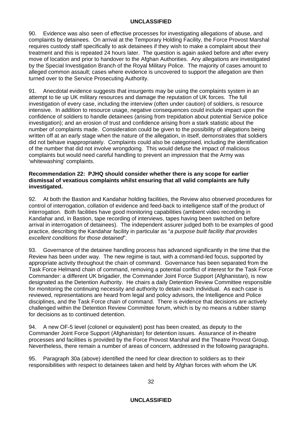90. Evidence was also seen of effective processes for investigating allegations of abuse, and complaints by detainees. On arrival at the Temporary Holding Facility, the Force Provost Marshal requires custody staff specifically to ask detainees if they wish to make a complaint about their treatment and this is repeated 24 hours later. The question is again asked before and after every move of location and prior to handover to the Afghan Authorities. Any allegations are investigated by the Special Investigation Branch of the Royal Military Police. The majority of cases amount to alleged common assault; cases where evidence is uncovered to support the allegation are then turned over to the Service Prosecuting Authority.

91. Anecdotal evidence suggests that insurgents may be using the complaints system in an attempt to tie up UK military resources and damage the reputation of UK forces. The full investigation of every case, including the interview (often under caution) of soldiers, is resource intensive. In addition to resource usage, negative consequences could include impact upon the confidence of soldiers to handle detainees (arising from trepidation about potential Service police investigation); and an erosion of trust and confidence arising from a stark statistic about the number of complaints made. Consideration could be given to the possibility of allegations being written off at an early stage when the nature of the allegation, in itself, demonstrates that soldiers did not behave inappropriately. Complaints could also be categorised, including the identification of the number that did not involve wrongdoing. This would defuse the impact of malicious complaints but would need careful handling to prevent an impression that the Army was 'whitewashing' complaints.

#### **Recommendation 22: PJHQ should consider whether there is any scope for earlier dismissal of vexatious complaints whilst ensuring that all valid complaints are fully investigated.**

92. At both the Bastion and Kandahar holding facilities, the Review also observed procedures for control of interrogation, collation of evidence and feed-back to intelligence staff of the product of interrogation. Both facilities have good monitoring capabilities (ambient video recording in Kandahar and, in Bastion, tape recording of interviews, tapes having been switched on before arrival in interrogation of detainees). The independent assurer judged both to be examples of good practice, describing the Kandahar facility in particular as "*a purpose built facility that provides excellent conditions for those detained*".

93. Governance of the detainee handling process has advanced significantly in the time that the Review has been under way. The new regime is taut, with a command-led focus, supported by appropriate activity throughout the chain of command. Governance has been separated from the Task Force Helmand chain of command, removing a potential conflict of interest for the Task Force Commander: a different UK brigadier, the Commander Joint Force Support (Afghanistan), is now designated as the Detention Authority. He chairs a daily Detention Review Committee responsible for monitoring the continuing necessity and authority to detain each individual. As each case is reviewed, representations are heard from legal and policy advisors, the Intelligence and Police disciplines, and the Task Force chain of command. There is evidence that decisions are actively challenged within the Detention Review Committee forum, which is by no means a rubber stamp for decisions as to continued detention.

94. A new OF-5 level (colonel or equivalent) post has been created, as deputy to the Commander Joint Force Support (Afghanistan) for detention issues. Assurance of in-theatre processes and facilities is provided by the Force Provost Marshal and the Theatre Provost Group. Nevertheless, there remain a number of areas of concern, addressed in the following paragraphs.

95. Paragraph 30a (above) identified the need for clear direction to soldiers as to their responsibilities with respect to detainees taken and held by Afghan forces with whom the UK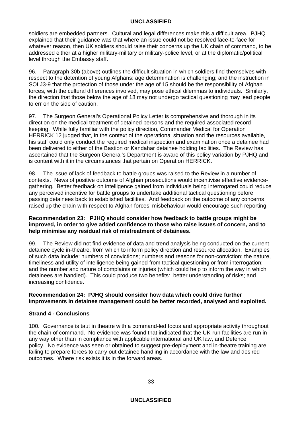soldiers are embedded partners. Cultural and legal differences make this a difficult area. PJHQ explained that their guidance was that where an issue could not be resolved face-to-face for whatever reason, then UK soldiers should raise their concerns up the UK chain of command, to be addressed either at a higher military-military or military-police level, or at the diplomatic/political level through the Embassy staff.

96. Paragraph 30b (above) outlines the difficult situation in which soldiers find themselves with respect to the detention of young Afghans: age determination is challenging; and the instruction in SOI J3-9 that the protection of those under the age of 15 should be the responsibility of Afghan forces, with the cultural differences involved, may pose ethical dilemmas to individuals. Similarly, the direction that those below the age of 18 may not undergo tactical questioning may lead people to err on the side of caution.

97. The Surgeon General's Operational Policy Letter is comprehensive and thorough in its direction on the medical treatment of detained persons and the required associated recordkeeping. While fully familiar with the policy direction, Commander Medical for Operation HERRICK 12 judged that, in the context of the operational situation and the resources available, his staff could only conduct the required medical inspection and examination once a detainee had been delivered to either of the Bastion or Kandahar detainee holding facilities. The Review has ascertained that the Surgeon General's Department is aware of this policy variation by PJHQ and is content with it in the circumstances that pertain on Operation HERRICK.

98. The issue of lack of feedback to battle groups was raised to the Review in a number of contexts. News of positive outcome of Afghan prosecutions would incentivise effective evidencegathering. Better feedback on intelligence gained from individuals being interrogated could reduce any perceived incentive for battle groups to undertake additional tactical questioning before passing detainees back to established facilities. And feedback on the outcome of any concerns raised up the chain with respect to Afghan forces' misbehaviour would encourage such reporting.

#### **Recommendation 23: PJHQ should consider how feedback to battle groups might be improved, in order to give added confidence to those who raise issues of concern, and to help minimise any residual risk of mistreatment of detainees.**

99. The Review did not find evidence of data and trend analysis being conducted on the current detainee cycle in-theatre, from which to inform policy direction and resource allocation. Examples of such data include: numbers of convictions; numbers and reasons for non-conviction; the nature, timeliness and utility of intelligence being gained from tactical questioning or from interrogation; and the number and nature of complaints or injuries (which could help to inform the way in which detainees are handled). This could produce two benefits: better understanding of risks; and increasing confidence.

#### **Recommendation 24: PJHQ should consider how data which could drive further improvements in detainee management could be better recorded, analysed and exploited.**

# **Strand 4 - Conclusions**

100. Governance is taut in theatre with a command-led focus and appropriate activity throughout the chain of command. No evidence was found that indicated that the UK-run facilities are run in any way other than in compliance with applicable international and UK law, and Defence policy. No evidence was seen or obtained to suggest pre-deployment and in-theatre training are failing to prepare forces to carry out detainee handling in accordance with the law and desired outcomes. Where risk exists it is in the forward areas.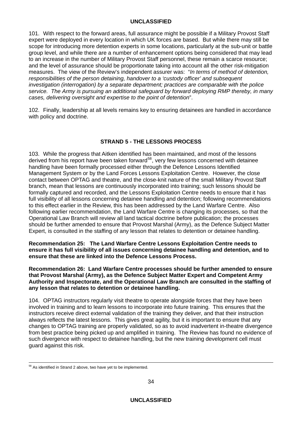101. With respect to the forward areas, full assurance might be possible if a Military Provost Staff expert were deployed in every location in which UK forces are based. But while there may still be scope for introducing more detention experts in some locations, particularly at the sub-unit or battle group level, and while there are a number of enhancement options being considered that may lead to an increase in the number of Military Provost Staff personnel, these remain a scarce resource; and the level of assurance should be proportionate taking into account all the other risk-mitigation measures. The view of the Review's independent assurer was: "*In terms of method of detention, responsibilities of the person detaining, handover to a 'custody officer' and subsequent investigation (interrogation) by a separate department; practices are comparable with the police service. The Army is pursuing an additional safeguard by forward deploying RMP thereby, in many cases, delivering oversight and expertise to the point of detention*".

102. Finally, leadership at all levels remains key to ensuring detainees are handled in accordance with policy and doctrine.

# **STRAND 5 - THE LESSONS PROCESS**

103. While the progress that Aitken identified has been maintained, and most of the lessons derived from his report have been taken forward<sup>[58](#page-37-0)</sup>, very few lessons concerned with detainee handling have been formally processed either through the Defence Lessons Identified Management System or by the Land Forces Lessons Exploitation Centre. However, the close contact between OPTAG and theatre, and the close-knit nature of the small Military Provost Staff branch, mean that lessons are continuously incorporated into training; such lessons should be formally captured and recorded, and the Lessons Exploitation Centre needs to ensure that it has full visibility of all lessons concerning detainee handling and detention; following recommendations to this effect earlier in the Review, this has been addressed by the Land Warfare Centre. Also following earlier recommendation, the Land Warfare Centre is changing its processes, so that the Operational Law Branch will review all land tactical doctrine before publication; the processes should be further amended to ensure that Provost Marshal (Army), as the Defence Subject Matter Expert, is consulted in the staffing of any lesson that relates to detention or detainee handling.

**Recommendation 25: The Land Warfare Centre Lessons Exploitation Centre needs to ensure it has full visibility of all issues concerning detainee handling and detention, and to ensure that these are linked into the Defence Lessons Process.** 

#### **Recommendation 26: Land Warfare Centre processes should be further amended to ensure that Provost Marshal (Army), as the Defence Subject Matter Expert and Competent Army Authority and Inspectorate, and the Operational Law Branch are consulted in the staffing of any lesson that relates to detention or detainee handling.**

104. OPTAG instructors regularly visit theatre to operate alongside forces that they have been involved in training and to learn lessons to incorporate into future training. This ensures that the instructors receive direct external validation of the training they deliver, and that their instruction always reflects the latest lessons. This gives great agility, but it is important to ensure that any changes to OPTAG training are properly validated, so as to avoid inadvertent in-theatre divergence from best practice being picked up and amplified in training. The Review has found no evidence of such divergence with respect to detainee handling, but the new training development cell must guard against this risk.

<span id="page-37-0"></span> $\overline{a}$  $58$  As identified in Strand 2 above, two have yet to be implemented.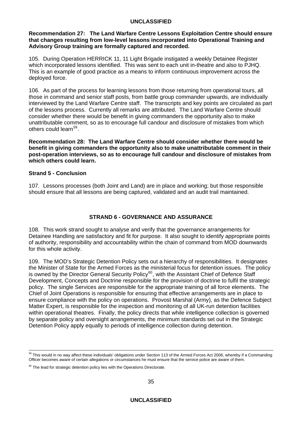#### **Recommendation 27: The Land Warfare Centre Lessons Exploitation Centre should ensure that changes resulting from low-level lessons incorporated into Operational Training and Advisory Group training are formally captured and recorded.**

105. During Operation HERRICK 11, 11 Light Brigade instigated a weekly Detainee Register which incorporated lessons identified. This was sent to each unit in-theatre and also to PJHQ. This is an example of good practice as a means to inform continuous improvement across the deployed force.

106. As part of the process for learning lessons from those returning from operational tours, all those in command and senior staff posts, from battle group commander upwards, are individually interviewed by the Land Warfare Centre staff. The transcripts and key points are circulated as part of the lessons process. Currently all remarks are attributed. The Land Warfare Centre should consider whether there would be benefit in giving commanders the opportunity also to make unattributable comment, so as to encourage full candour and disclosure of mistakes from which others could learn<sup>[59](#page-38-0)</sup>.

**Recommendation 28: The Land Warfare Centre should consider whether there would be benefit in giving commanders the opportunity also to make unattributable comment in their post-operation interviews, so as to encourage full candour and disclosure of mistakes from which others could learn.** 

#### **Strand 5 - Conclusion**

107. Lessons processes (both Joint and Land) are in place and working; but those responsible should ensure that all lessons are being captured, validated and an audit trail maintained.

#### **STRAND 6 - GOVERNANCE AND ASSURANCE**

108. This work strand sought to analyse and verify that the governance arrangements for Detainee Handling are satisfactory and fit for purpose. It also sought to identify appropriate points of authority, responsibility and accountability within the chain of command from MOD downwards for this whole activity.

109. The MOD's Strategic Detention Policy sets out a hierarchy of responsibilities. It designates the Minister of State for the Armed Forces as the ministerial focus for detention issues. The policy is owned by the Director General Security Policy<sup>[60](#page-38-1)</sup>, with the Assistant Chief of Defence Staff Development, Concepts and Doctrine responsible for the provision of doctrine to fulfil the strategic policy. The single Services are responsible for the appropriate training of all force elements. The Chief of Joint Operations is responsible for ensuring that effective arrangements are in place to ensure compliance with the policy on operations. Provost Marshal (Army), as the Defence Subject Matter Expert, is responsible for the inspection and monitoring of all UK-run detention facilities within operational theatres. Finally, the policy directs that while intelligence collection is governed by separate policy and oversight arrangements, the minimum standards set out in the Strategic Detention Policy apply equally to periods of intelligence collection during detention.

<span id="page-38-0"></span> $\overline{a}$ <sup>59</sup> This would in no way affect these individuals' obligations under Section 113 of the Armed Forces Act 2006, whereby if a Commanding Officer becomes aware of certain allegations or circumstances he must ensure that the service police are aware of them.

<span id="page-38-1"></span> $60$  The lead for strategic detention policy lies with the Operations Directorate.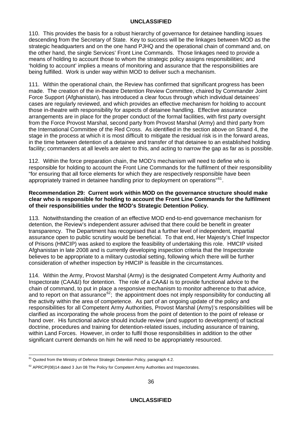110. This provides the basis for a robust hierarchy of governance for detainee handling issues descending from the Secretary of State. Key to success will be the linkages between MOD as the strategic headquarters and on the one hand PJHQ and the operational chain of command and, on the other hand, the single Services' Front Line Commands. Those linkages need to provide a means of holding to account those to whom the strategic policy assigns responsibilities; and 'holding to account' implies a means of monitoring and assurance that the responsibilities are being fulfilled. Work is under way within MOD to deliver such a mechanism.

111. Within the operational chain, the Review has confirmed that significant progress has been made. The creation of the in-theatre Detention Review Committee, chaired by Commander Joint Force Support (Afghanistan), has introduced a clear focus through which individual detainees' cases are regularly reviewed, and which provides an effective mechanism for holding to account those in-theatre with responsibility for aspects of detainee handling. Effective assurance arrangements are in place for the proper conduct of the formal facilities, with first party oversight from the Force Provost Marshal, second party from Provost Marshal (Army) and third party from the International Committee of the Red Cross. As identified in the section above on Strand 4, the stage in the process at which it is most difficult to mitigate the residual risk is in the forward areas, in the time between detention of a detainee and transfer of that detainee to an established holding facility; commanders at all levels are alert to this, and acting to narrow the gap as far as is possible.

112. Within the force preparation chain, the MOD's mechanism will need to define who is responsible for holding to account the Front Line Commands for the fulfilment of their responsibility "for ensuring that all force elements for which they are respectively responsible have been appropriately trained in detainee handling prior to deployment on operations"<sup>[61](#page-39-0)</sup>.

#### **Recommendation 29: Current work within MOD on the governance structure should make clear who is responsible for holding to account the Front Line Commands for the fulfilment of their responsibilities under the MOD's Strategic Detention Policy.**

113. Notwithstanding the creation of an effective MOD end-to-end governance mechanism for detention, the Review's independent assurer advised that there could be benefit in greater transparency. The Department has recognised that a further level of independent, impartial assurance open to public scrutiny would be beneficial. To that end, Her Majesty's Chief Inspector of Prisons (HMCIP) was asked to explore the feasibility of undertaking this role. HMCIP visited Afghanistan in late 2008 and is currently developing inspection criteria that the Inspectorate believes to be appropriate to a military custodial setting, following which there will be further consideration of whether inspection by HMCIP is feasible in the circumstances.

114. Within the Army, Provost Marshal (Army) is the designated Competent Army Authority and Inspectorate (CAA&I) for detention. The role of a CAA&I is to provide functional advice to the chain of command, to put in place a responsive mechanism to monitor adherence to that advice, and to report on that assurance  $62$ ; the appointment does not imply responsibility for conducting all the activity within the area of competence. As part of an ongoing update of the policy and responsibilities for all Competent Army Authorities, Provost Marshal (Army)'s responsibilities will be clarified as incorporating the whole process from the point of detention to the point of release or hand over. His functional advice should include review (and support to development) of tactical doctrine, procedures and training for detention-related issues, including assurance of training, within Land Forces. However, in order to fulfil those responsibilities in addition to the other significant current demands on him he will need to be appropriately resourced.

<span id="page-39-0"></span><sup>&</sup>lt;sup>61</sup> Quoted from the Ministry of Defence Strategic Detention Policy, paragraph 4.2.

<span id="page-39-1"></span> $62$  APRC/P(08)14 dated 3 Jun 08 The Policy for Competent Army Authorities and Inspectorates.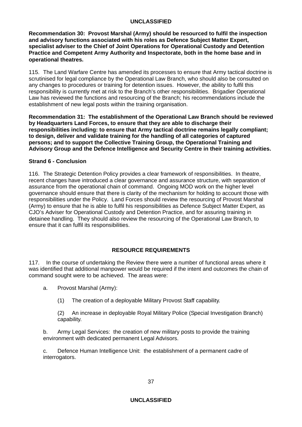**Recommendation 30: Provost Marshal (Army) should be resourced to fulfil the inspection and advisory functions associated with his roles as Defence Subject Matter Expert, specialist adviser to the Chief of Joint Operations for Operational Custody and Detention Practice and Competent Army Authority and Inspectorate, both in the home base and in operational theatres.**

115. The Land Warfare Centre has amended its processes to ensure that Army tactical doctrine is scrutinised for legal compliance by the Operational Law Branch, who should also be consulted on any changes to procedures or training for detention issues. However, the ability to fulfil this responsibility is currently met at risk to the Branch's other responsibilities. Brigadier Operational Law has reviewed the functions and resourcing of the Branch; his recommendations include the establishment of new legal posts within the training organisation.

**Recommendation 31: The establishment of the Operational Law Branch should be reviewed by Headquarters Land Forces, to ensure that they are able to discharge their responsibilities including: to ensure that Army tactical doctrine remains legally compliant; to design, deliver and validate training for the handling of all categories of captured persons; and to support the Collective Training Group, the Operational Training and Advisory Group and the Defence Intelligence and Security Centre in their training activities.**

#### **Strand 6 - Conclusion**

116. The Strategic Detention Policy provides a clear framework of responsibilities. In theatre, recent changes have introduced a clear governance and assurance structure, with separation of assurance from the operational chain of command. Ongoing MOD work on the higher level governance should ensure that there is clarity of the mechanism for holding to account those with responsibilities under the Policy. Land Forces should review the resourcing of Provost Marshal (Army) to ensure that he is able to fulfil his responsibilities as Defence Subject Matter Expert, as CJO's Adviser for Operational Custody and Detention Practice, and for assuring training in detainee handling. They should also review the resourcing of the Operational Law Branch, to ensure that it can fulfil its responsibilities.

# **RESOURCE REQUIREMENTS**

117. In the course of undertaking the Review there were a number of functional areas where it was identified that additional manpower would be required if the intent and outcomes the chain of command sought were to be achieved. The areas were:

- a. Provost Marshal (Army):
	- (1) The creation of a deployable Military Provost Staff capability.

(2) An increase in deployable Royal Military Police (Special Investigation Branch) capability.

b. Army Legal Services: the creation of new military posts to provide the training environment with dedicated permanent Legal Advisors.

c. Defence Human Intelligence Unit: the establishment of a permanent cadre of interrogators.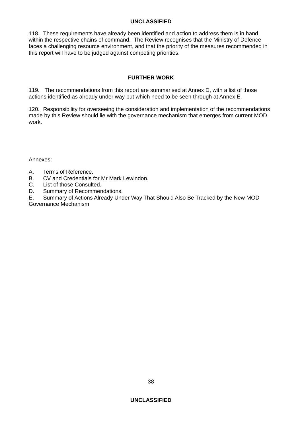118. These requirements have already been identified and action to address them is in hand within the respective chains of command. The Review recognises that the Ministry of Defence faces a challenging resource environment, and that the priority of the measures recommended in this report will have to be judged against competing priorities.

## **FURTHER WORK**

119. The recommendations from this report are summarised at Annex D, with a list of those actions identified as already under way but which need to be seen through at Annex E.

120. Responsibility for overseeing the consideration and implementation of the recommendations made by this Review should lie with the governance mechanism that emerges from current MOD work.

Annexes:

- A. Terms of Reference.
- B. CV and Credentials for Mr Mark Lewindon.
- C. List of those Consulted.
- D. Summary of Recommendations.

E. Summary of Actions Already Under Way That Should Also Be Tracked by the New MOD Governance Mechanism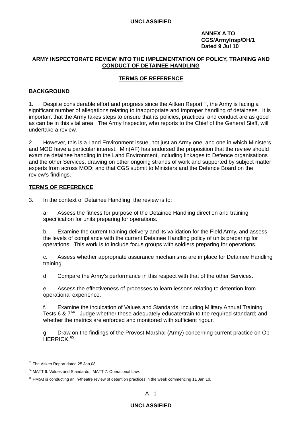#### **ANNEX A TO CGS/ArmyInsp/DH/1 Dated 9 Jul 10**

## **ARMY INSPECTORATE REVIEW INTO THE IMPLEMENTATION OF POLICY, TRAINING AND CONDUCT OF DETAINEE HANDLING**

#### **TERMS OF REFERENCE**

# **BACKGROUND**

1. Despite considerable effort and progress since the Aitken Report<sup>[63](#page-42-0)</sup>, the Army is facing a significant number of allegations relating to inappropriate and improper handling of detainees. It is important that the Army takes steps to ensure that its policies, practices, and conduct are as good as can be in this vital area. The Army Inspector, who reports to the Chief of the General Staff, will undertake a review.

2. However, this is a Land Environment issue, not just an Army one, and one in which Ministers and MOD have a particular interest. Min(AF) has endorsed the proposition that the review should examine detainee handling in the Land Environment, including linkages to Defence organisations and the other Services, drawing on other ongoing strands of work and supported by subject matter experts from across MOD; and that CGS submit to Ministers and the Defence Board on the review's findings.

#### **TERMS OF REFERENCE**

3. In the context of Detainee Handling, the review is to:

a. Assess the fitness for purpose of the Detainee Handling direction and training specification for units preparing for operations.

b. Examine the current training delivery and its validation for the Field Army, and assess the levels of compliance with the current Detainee Handling policy of units preparing for operations. This work is to include focus groups with soldiers preparing for operations.

c. Assess whether appropriate assurance mechanisms are in place for Detainee Handling training.

d. Compare the Army's performance in this respect with that of the other Services.

e. Assess the effectiveness of processes to learn lessons relating to detention from operational experience.

f. Examine the inculcation of Values and Standards, including Military Annual Training Tests 6 &  $7^{64}$  $7^{64}$  $7^{64}$ . Judge whether these adequately educate/train to the required standard; and whether the metrics are enforced and monitored with sufficient rigour.

g. Draw on the findings of the Provost Marshal (Army) concerning current practice on Op HERRICK<sup>[65](#page-42-2)</sup>

 $\overline{a}$ 

<span id="page-42-0"></span><sup>&</sup>lt;sup>63</sup> The Aitken Report dated 25 Jan 08.

<span id="page-42-1"></span><sup>64</sup> MATT 6: Values and Standards. MATT 7: Operational Law.

<span id="page-42-2"></span> $65$  PM(A) is conducting an in-theatre review of detention practices in the week commencing 11 Jan 10.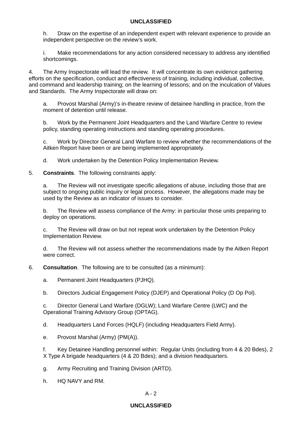h. Draw on the expertise of an independent expert with relevant experience to provide an independent perspective on the review's work.

i. Make recommendations for any action considered necessary to address any identified shortcomings.

4. The Army Inspectorate will lead the review. It will concentrate its own evidence gathering efforts on the specification, conduct and effectiveness of training, including individual, collective, and command and leadership training; on the learning of lessons; and on the inculcation of Values and Standards. The Army Inspectorate will draw on:

a. Provost Marshal (Army)'s in-theatre review of detainee handling in practice, from the moment of detention until release.

b. Work by the Permanent Joint Headquarters and the Land Warfare Centre to review policy, standing operating instructions and standing operating procedures.

c. Work by Director General Land Warfare to review whether the recommendations of the Aitken Report have been or are being implemented appropriately.

d. Work undertaken by the Detention Policy Implementation Review.

#### 5. **Constraints**. The following constraints apply:

a. The Review will not investigate specific allegations of abuse, including those that are subject to ongoing public inquiry or legal process. However, the allegations made may be used by the Review as an indicator of issues to consider.

b. The Review will assess compliance of the Army: in particular those units preparing to deploy on operations.

c. The Review will draw on but not repeat work undertaken by the Detention Policy Implementation Review.

d. The Review will not assess whether the recommendations made by the Aitken Report were correct.

6. **Consultation**. The following are to be consulted (as a minimum):

a. Permanent Joint Headquarters (PJHQ).

b. Directors Judicial Engagement Policy (DJEP) and Operational Policy (D Op Pol).

c. Director General Land Warfare (DGLW); Land Warfare Centre (LWC) and the Operational Training Advisory Group (OPTAG).

d. Headquarters Land Forces (HQLF) (including Headquarters Field Army).

e. Provost Marshal (Army) (PM(A)).

Key Detainee Handling personnel within: Regular Units (including from 4 & 20 Bdes), 2 X Type A brigade headquarters (4 & 20 Bdes); and a division headquarters.

g. Army Recruiting and Training Division (ARTD).

h. HQ NAVY and RM.

#### $A - 2$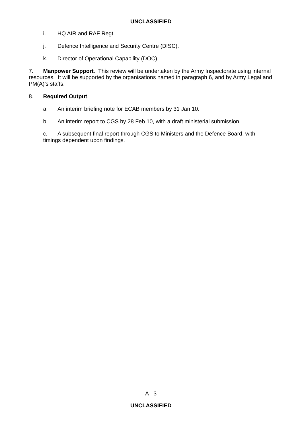- i. HQ AIR and RAF Regt.
- j. Defence Intelligence and Security Centre (DISC).
- k. Director of Operational Capability (DOC).

7. **Manpower Support**. This review will be undertaken by the Army Inspectorate using internal resources. It will be supported by the organisations named in paragraph 6, and by Army Legal and PM(A)'s staffs.

## 8. **Required Output**.

- a. An interim briefing note for ECAB members by 31 Jan 10.
- b. An interim report to CGS by 28 Feb 10, with a draft ministerial submission.

c. A subsequent final report through CGS to Ministers and the Defence Board, with timings dependent upon findings.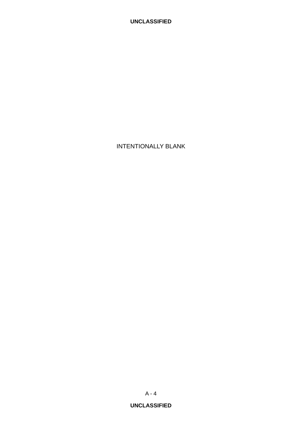# INTENTIONALLY BLANK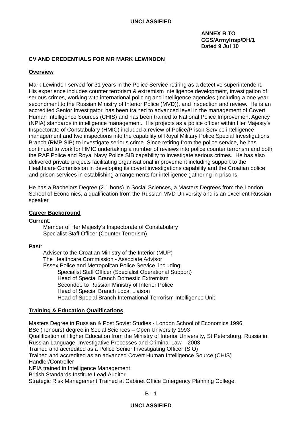**ANNEX B TO CGS/ArmyInsp/DH/1 Dated 9 Jul 10** 

#### **CV AND CREDENTIALS FOR MR MARK LEWINDON**

#### **Overview**

Mark Lewindon served for 31 years in the Police Service retiring as a detective superintendent. His experience includes counter terrorism & extremism intelligence development, investigation of serious crimes, working with international policing and intelligence agencies (including a one year secondment to the Russian Ministry of Interior Police (MVD)), and inspection and review. He is an accredited Senior Investigator, has been trained to advanced level in the management of Covert Human Intelligence Sources (CHIS) and has been trained to National Police Improvement Agency (NPIA) standards in intelligence management. His projects as a police officer within Her Majesty's Inspectorate of Constabulary (HMIC) included a review of Police/Prison Service intelligence management and two inspections into the capability of Royal Military Police Special Investigations Branch (RMP SIB) to investigate serious crime. Since retiring from the police service, he has continued to work for HMIC undertaking a number of reviews into police counter terrorism and both the RAF Police and Royal Navy Police SIB capability to investigate serious crimes. He has also delivered private projects facilitating organisational improvement including support to the Healthcare Commission in developing its covert investigations capability and the Croatian police and prison services in establishing arrangements for intelligence gathering in prisons.

He has a Bachelors Degree (2.1 hons) in Social Sciences, a Masters Degrees from the London School of Economics, a qualification from the Russian MVD University and is an excellent Russian speaker.

#### **Career Background**

#### **Current**:

Member of Her Majesty's Inspectorate of Constabulary Specialist Staff Officer (Counter Terrorism)

#### **Past**:

Adviser to the Croatian Ministry of the Interior (MUP) The Healthcare Commission - Associate Advisor Essex Police and Metropolitan Police Service, including: Specialist Staff Officer (Specialist Operational Support) Head of Special Branch Domestic Extremism Secondee to Russian Ministry of Interior Police Head of Special Branch Local Liaison Head of Special Branch International Terrorism Intelligence Unit

#### **Training & Education Qualifications**

Masters Degree in Russian & Post Soviet Studies - London School of Economics 1996 BSc (honours) degree in Social Sciences – Open University 1993 Qualification of Higher Education from the Ministry of Interior University, St Petersburg, Russia in Russian Language, Investigative Processes and Criminal Law – 2003 Trained and accredited as a Police Senior Investigating Officer (SIO) Trained and accredited as an advanced Covert Human Intelligence Source (CHIS) Handler/Controller NPIA trained in Intelligence Management British Standards Institute Lead Auditor. Strategic Risk Management Trained at Cabinet Office Emergency Planning College.

 $B - 1$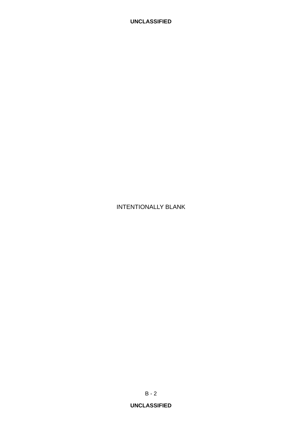# INTENTIONALLY BLANK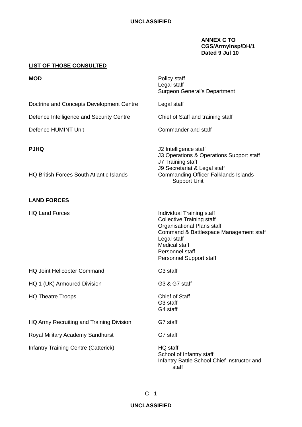#### **ANNEX C TO CGS/ArmyInsp/DH/1 Dated 9 Jul 10**

# **LIST OF THOSE CONSULTED**

| <b>MOD</b>                                      | Policy staff<br>Legal staff<br><b>Surgeon General's Department</b>                                                                                                                                                         |
|-------------------------------------------------|----------------------------------------------------------------------------------------------------------------------------------------------------------------------------------------------------------------------------|
| Doctrine and Concepts Development Centre        | Legal staff                                                                                                                                                                                                                |
| Defence Intelligence and Security Centre        | Chief of Staff and training staff                                                                                                                                                                                          |
| Defence HUMINT Unit                             | Commander and staff                                                                                                                                                                                                        |
| <b>PJHQ</b>                                     | J2 Intelligence staff<br>J3 Operations & Operations Support staff<br>J7 Training staff                                                                                                                                     |
| <b>HQ British Forces South Atlantic Islands</b> | J9 Secretariat & Legal staff<br><b>Commanding Officer Falklands Islands</b><br><b>Support Unit</b>                                                                                                                         |
| <b>LAND FORCES</b>                              |                                                                                                                                                                                                                            |
| <b>HQ Land Forces</b>                           | Individual Training staff<br><b>Collective Training staff</b><br>Organisational Plans staff<br>Command & Battlespace Management staff<br>Legal staff<br><b>Medical staff</b><br>Personnel staff<br>Personnel Support staff |
| <b>HQ Joint Helicopter Command</b>              | G3 staff                                                                                                                                                                                                                   |
| HQ 1 (UK) Armoured Division                     | G3 & G7 staff                                                                                                                                                                                                              |
| <b>HQ Theatre Troops</b>                        | <b>Chief of Staff</b><br>G3 staff<br>G4 staff                                                                                                                                                                              |
| HQ Army Recruiting and Training Division        | G7 staff                                                                                                                                                                                                                   |
| Royal Military Academy Sandhurst                | G7 staff                                                                                                                                                                                                                   |
| <b>Infantry Training Centre (Catterick)</b>     | HQ staff<br>School of Infantry staff<br>Infantry Battle School Chief Instructor and<br>staff                                                                                                                               |

C - 1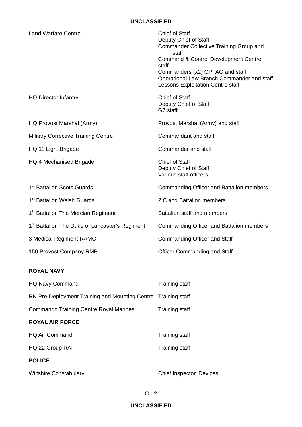| <b>Land Warfare Centre</b>                                    | <b>Chief of Staff</b><br>Deputy Chief of Staff<br><b>Commander Collective Training Group and</b><br>staff                                                                             |
|---------------------------------------------------------------|---------------------------------------------------------------------------------------------------------------------------------------------------------------------------------------|
|                                                               | <b>Command &amp; Control Development Centre</b><br>staff<br>Commanders (x2) OPTAG and staff<br>Operational Law Branch Commander and staff<br><b>Lessons Exploitation Centre staff</b> |
| <b>HQ Director Infantry</b>                                   | <b>Chief of Staff</b><br>Deputy Chief of Staff<br>G7 staff                                                                                                                            |
| HQ Provost Marshal (Army)                                     | Provost Marshal (Army) and staff                                                                                                                                                      |
| <b>Military Corrective Training Centre</b>                    | Commandant and staff                                                                                                                                                                  |
| HQ 11 Light Brigade                                           | Commander and staff                                                                                                                                                                   |
| HQ 4 Mechanised Brigade                                       | <b>Chief of Staff</b><br>Deputy Chief of Staff<br>Various staff officers                                                                                                              |
| 1 <sup>st</sup> Battalion Scots Guards                        | Commanding Officer and Battalion members                                                                                                                                              |
| 1 <sup>st</sup> Battalion Welsh Guards                        | 2IC and Battalion members                                                                                                                                                             |
| 1 <sup>st</sup> Battalion The Mercian Regiment                | Battalion staff and members                                                                                                                                                           |
| 1 <sup>st</sup> Battalion The Duke of Lancaster's Regiment    | Commanding Officer and Battalion members                                                                                                                                              |
| 3 Medical Regiment RAMC                                       | <b>Commanding Officer and Staff</b>                                                                                                                                                   |
| 150 Provost Company RMP                                       | <b>Officer Commanding and Staff</b>                                                                                                                                                   |
| <b>ROYAL NAVY</b>                                             |                                                                                                                                                                                       |
| <b>HQ Navy Command</b>                                        | <b>Training staff</b>                                                                                                                                                                 |
| RN Pre-Deployment Training and Mounting Centre Training staff |                                                                                                                                                                                       |
| <b>Commando Training Centre Royal Marines</b>                 | <b>Training staff</b>                                                                                                                                                                 |
| <b>ROYAL AIR FORCE</b>                                        |                                                                                                                                                                                       |
| <b>HQ Air Command</b>                                         | <b>Training staff</b>                                                                                                                                                                 |
| HQ 22 Group RAF                                               | <b>Training staff</b>                                                                                                                                                                 |
| <b>POLICE</b>                                                 |                                                                                                                                                                                       |
| <b>Wiltshire Constabulary</b>                                 | Chief Inspector, Devizes                                                                                                                                                              |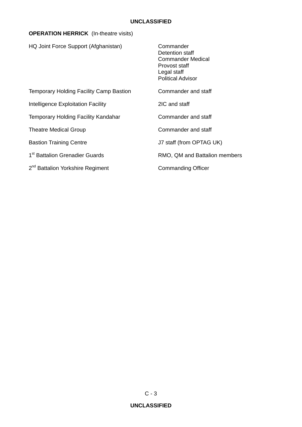# **OPERATION HERRICK** (In-theatre visits)

HQ Joint Force Support (Afghanistan) Commander

| HQ JOINT FORCE SUPPORT (AIGNATISTAN)         | Commander<br>Detention staff<br><b>Commander Medical</b><br>Provost staff<br>Legal staff<br><b>Political Advisor</b> |
|----------------------------------------------|----------------------------------------------------------------------------------------------------------------------|
| Temporary Holding Facility Camp Bastion      | Commander and staff                                                                                                  |
| Intelligence Exploitation Facility           | 2IC and staff                                                                                                        |
| Temporary Holding Facility Kandahar          | Commander and staff                                                                                                  |
| <b>Theatre Medical Group</b>                 | Commander and staff                                                                                                  |
| <b>Bastion Training Centre</b>               | J7 staff (from OPTAG UK)                                                                                             |
| 1 <sup>st</sup> Battalion Grenadier Guards   | RMO, QM and Battalion members                                                                                        |
| 2 <sup>nd</sup> Battalion Yorkshire Regiment | <b>Commanding Officer</b>                                                                                            |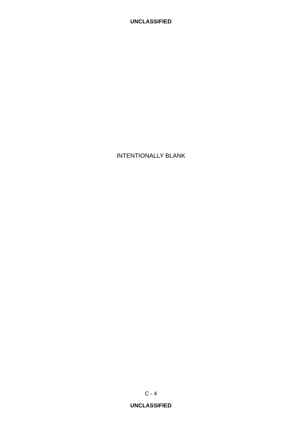# INTENTIONALLY BLANK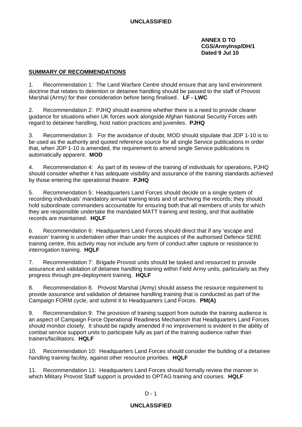#### **ANNEX D TO CGS/ArmyInsp/DH/1 Dated 9 Jul 10**

#### **SUMMARY OF RECOMMENDATIONS**

1. Recommendation 1: The Land Warfare Centre should ensure that any land environment doctrine that relates to detention or detainee handling should be passed to the staff of Provost Marshal (Army) for their consideration before being finalised. **LF - LWC**

2. Recommendation 2: PJHQ should examine whether there is a need to provide clearer guidance for situations when UK forces work alongside Afghan National Security Forces with regard to detainee handling, host nation practices and juveniles. **PJHQ**

3. Recommendation 3: For the avoidance of doubt, MOD should stipulate that JDP 1-10 is to be used as the authority and quoted reference source for all single Service publications in order that, when JDP 1-10 is amended, the requirement to amend single Service publications is automatically apparent. **MOD**

4. Recommendation 4: As part of its review of the training of individuals for operations, PJHQ should consider whether it has adequate visibility and assurance of the training standards achieved by those entering the operational theatre. **PJHQ**

5. Recommendation 5: Headquarters Land Forces should decide on a single system of recording individuals' mandatory annual training tests and of archiving the records; they should hold subordinate commanders accountable for ensuring both that all members of units for which they are responsible undertake the mandated MATT training and testing, and that auditable records are maintained. **HQLF**

6. Recommendation 6: Headquarters Land Forces should direct that if any 'escape and evasion' training is undertaken other than under the auspices of the authorised Defence SERE training centre, this activity may not include any form of conduct after capture or resistance to interrogation training. **HQLF**

7. Recommendation 7: Brigade Provost units should be tasked and resourced to provide assurance and validation of detainee handling training within Field Army units, particularly as they progress through pre-deployment training. **HQLF**

8. Recommendation 8. Provost Marshal (Army) should assess the resource requirement to provide assurance and validation of detainee handling training that is conducted as part of the Campaign FORM cycle, and submit it to Headquarters Land Forces. **PM(A)**

9. Recommendation 9: The provision of training support from outside the training audience is an aspect of Campaign Force Operational Readiness Mechanism that Headquarters Land Forces should monitor closely. It should be rapidly amended if no improvement is evident in the ability of combat service support units to participate fully as part of the training audience rather than trainers/facilitators. **HQLF**

10. Recommendation 10: Headquarters Land Forces should consider the building of a detainee handling training facility, against other resource priorities. **HQLF**

11. Recommendation 11: Headquarters Land Forces should formally review the manner in which Military Provost Staff support is provided to OPTAG training and courses. **HQLF**

#### $D - 1$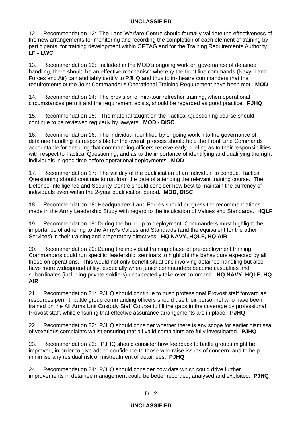12. Recommendation 12: The Land Warfare Centre should formally validate the effectiveness of the new arrangements for monitoring and recording the completion of each element of training by participants, for training development within OPTAG and for the Training Requirements Authority. **LF - LWC**

13. Recommendation 13: Included in the MOD's ongoing work on governance of detainee handling, there should be an effective mechanism whereby the front line commands (Navy, Land Forces and Air) can auditably certify to PJHQ and thus to in-theatre commanders that the requirements of the Joint Commander's Operational Training Requirement have been met. **MOD**

14. Recommendation 14: The provision of mid-tour refresher training, when operational circumstances permit and the requirement exists, should be regarded as good practice. **PJHQ**

15. Recommendation 15: The material taught on the Tactical Questioning course should continue to be reviewed regularly by lawyers. **MOD - DISC**

16. Recommendation 16: The individual identified by ongoing work into the governance of detainee handling as responsible for the overall process should hold the Front Line Commands accountable for ensuring that commanding officers receive early briefing as to their responsibilities with respect to Tactical Questioning, and as to the importance of identifying and qualifying the right individuals in good time before operational deployments. **MOD**

17. Recommendation 17: The validity of the qualification of an individual to conduct Tactical Questioning should continue to run from the date of attending the relevant training course. The Defence Intelligence and Security Centre should consider how best to maintain the currency of individuals even within the 2-year qualification period. **MOD, DISC**

18. Recommendation 18: Headquarters Land Forces should progress the recommendations made in the Army Leadership Study with regard to the inculcation of Values and Standards. **HQLF**

19. Recommendation 19: During the build-up to deployment, Commanders must highlight the importance of adhering to the Army's Values and Standards (and the equivalent for the other Services) in their training and preparatory directives. **HQ NAVY, HQLF, HQ AIR**

20. Recommendation 20: During the individual training phase of pre-deployment training Commanders could run specific 'leadership' seminars to highlight the behaviours expected by all those on operations. This would not only benefit situations involving detainee handling but also have more widespread utility, especially when junior commanders become casualties and subordinates (including private soldiers) unexpectedly take over command. **HQ NAVY, HQLF, HQ AIR**

21. Recommendation 21: PJHQ should continue to push professional Provost staff forward as resources permit; battle group commanding officers should use their personnel who have been trained on the All Arms Unit Custody Staff Course to fill the gaps in the coverage by professional Provost staff, while ensuring that effective assurance arrangements are in place. **PJHQ**

22. Recommendation 22: PJHQ should consider whether there is any scope for earlier dismissal of vexatious complaints whilst ensuring that all valid complaints are fully investigated. **PJHQ**

23. Recommendation 23: PJHQ should consider how feedback to battle groups might be improved, in order to give added confidence to those who raise issues of concern, and to help minimise any residual risk of mistreatment of detainees. **PJHQ**

24. Recommendation 24: PJHQ should consider how data which could drive further improvements in detainee management could be better recorded, analysed and exploited. **PJHQ**

#### $D - 2$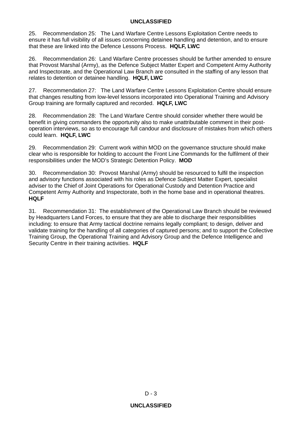25. Recommendation 25: The Land Warfare Centre Lessons Exploitation Centre needs to ensure it has full visibility of all issues concerning detainee handling and detention, and to ensure that these are linked into the Defence Lessons Process. **HQLF, LWC**

26. Recommendation 26: Land Warfare Centre processes should be further amended to ensure that Provost Marshal (Army), as the Defence Subject Matter Expert and Competent Army Authority and Inspectorate, and the Operational Law Branch are consulted in the staffing of any lesson that relates to detention or detainee handling. **HQLF, LWC**

27. Recommendation 27: The Land Warfare Centre Lessons Exploitation Centre should ensure that changes resulting from low-level lessons incorporated into Operational Training and Advisory Group training are formally captured and recorded. **HQLF, LWC**

28. Recommendation 28: The Land Warfare Centre should consider whether there would be benefit in giving commanders the opportunity also to make unattributable comment in their postoperation interviews, so as to encourage full candour and disclosure of mistakes from which others could learn. **HQLF, LWC**

29. Recommendation 29: Current work within MOD on the governance structure should make clear who is responsible for holding to account the Front Line Commands for the fulfilment of their responsibilities under the MOD's Strategic Detention Policy. **MOD**

30. Recommendation 30: Provost Marshal (Army) should be resourced to fulfil the inspection and advisory functions associated with his roles as Defence Subject Matter Expert, specialist adviser to the Chief of Joint Operations for Operational Custody and Detention Practice and Competent Army Authority and Inspectorate, both in the home base and in operational theatres. **HQLF**

31. Recommendation 31: The establishment of the Operational Law Branch should be reviewed by Headquarters Land Forces, to ensure that they are able to discharge their responsibilities including: to ensure that Army tactical doctrine remains legally compliant; to design, deliver and validate training for the handling of all categories of captured persons; and to support the Collective Training Group, the Operational Training and Advisory Group and the Defence Intelligence and Security Centre in their training activities. **HQLF**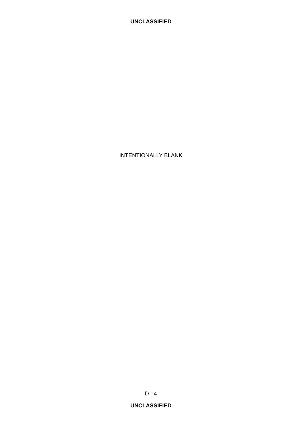#### INTENTIONALLY BLANK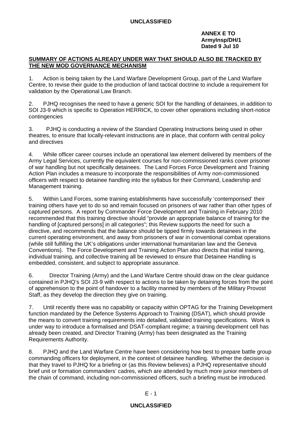#### **ANNEX E TO ArmyInsp/DH/1 Dated 9 Jul 10**

# **SUMMARY OF ACTIONS ALREADY UNDER WAY THAT SHOULD ALSO BE TRACKED BY THE NEW MOD GOVERNANCE MECHANISM**

1. Action is being taken by the Land Warfare Development Group, part of the Land Warfare Centre, to revise their guide to the production of land tactical doctrine to include a requirement for validation by the Operational Law Branch.

2. PJHQ recognises the need to have a generic SOI for the handling of detainees, in addition to SOI J3-9 which is specific to Operation HERRICK, to cover other operations including short-notice contingencies

3. PJHQ is conducting a review of the Standard Operating Instructions being used in other theatres, to ensure that locally-relevant instructions are in place, that conform with central policy and directives

4. While officer career courses include an operational law element delivered by members of the Army Legal Services, currently the equivalent courses for non-commissioned ranks cover prisoner of war handling but not specifically detainees. The Land Forces Force Development and Training Action Plan includes a measure to incorporate the responsibilities of Army non-commissioned officers with respect to detainee handling into the syllabus for their Command, Leadership and Management training.

5. Within Land Forces, some training establishments have successfully 'contemporised' their training others have yet to do so and remain focused on prisoners of war rather than other types of captured persons. A report by Commander Force Development and Training in February 2010 recommended that this training directive should "provide an appropriate balance of training for the handling of [captured persons] in all categories"; this Review supports the need for such a directive, and recommends that the balance should be tipped firmly towards detainees in the current operating environment, and away from prisoners of war in conventional combat operations (while still fulfilling the UK's obligations under international humanitarian law and the Geneva Conventions). The Force Development and Training Action Plan also directs that initial training, individual training, and collective training all be reviewed to ensure that Detainee Handling is embedded, consistent, and subject to appropriate assurance.

6. Director Training (Army) and the Land Warfare Centre should draw on the clear guidance contained in PJHQ's SOI J3-9 with respect to actions to be taken by detaining forces from the point of apprehension to the point of handover to a facility manned by members of the Military Provost Staff, as they develop the direction they give on training.

7. Until recently there was no capability or capacity within OPTAG for the Training Development function mandated by the Defence Systems Approach to Training (DSAT), which should provide the means to convert training requirements into detailed, validated training specifications. Work is under way to introduce a formalised and DSAT-compliant regime; a training development cell has already been created, and Director Training (Army) has been designated as the Training Requirements Authority.

8. PJHQ and the Land Warfare Centre have been considering how best to prepare battle group commanding officers for deployment, in the context of detainee handling. Whether the decision is that they travel to PJHQ for a briefing or (as this Review believes) a PJHQ representative should brief unit or formation commanders' cadres, which are attended by much more junior members of the chain of command, including non-commissioned officers, such a briefing must be introduced.

#### $E - 1$